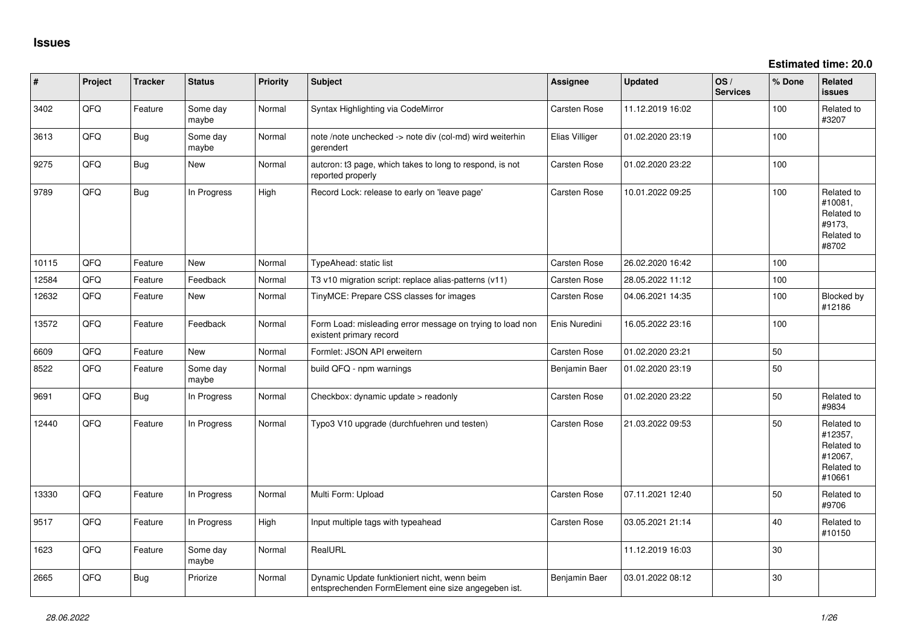| #     | Project | <b>Tracker</b> | <b>Status</b>     | Priority | Subject                                                                                             | <b>Assignee</b>     | <b>Updated</b>   | OS/<br><b>Services</b> | % Done | Related<br>issues                                                      |
|-------|---------|----------------|-------------------|----------|-----------------------------------------------------------------------------------------------------|---------------------|------------------|------------------------|--------|------------------------------------------------------------------------|
| 3402  | QFQ     | Feature        | Some day<br>maybe | Normal   | Syntax Highlighting via CodeMirror                                                                  | Carsten Rose        | 11.12.2019 16:02 |                        | 100    | Related to<br>#3207                                                    |
| 3613  | QFQ     | <b>Bug</b>     | Some day<br>maybe | Normal   | note /note unchecked -> note div (col-md) wird weiterhin<br>gerendert                               | Elias Villiger      | 01.02.2020 23:19 |                        | 100    |                                                                        |
| 9275  | QFQ     | <b>Bug</b>     | New               | Normal   | autcron: t3 page, which takes to long to respond, is not<br>reported properly                       | Carsten Rose        | 01.02.2020 23:22 |                        | 100    |                                                                        |
| 9789  | QFQ     | <b>Bug</b>     | In Progress       | High     | Record Lock: release to early on 'leave page'                                                       | Carsten Rose        | 10.01.2022 09:25 |                        | 100    | Related to<br>#10081,<br>Related to<br>#9173,<br>Related to<br>#8702   |
| 10115 | QFQ     | Feature        | New               | Normal   | TypeAhead: static list                                                                              | Carsten Rose        | 26.02.2020 16:42 |                        | 100    |                                                                        |
| 12584 | QFQ     | Feature        | Feedback          | Normal   | T3 v10 migration script: replace alias-patterns (v11)                                               | Carsten Rose        | 28.05.2022 11:12 |                        | 100    |                                                                        |
| 12632 | QFQ     | Feature        | New               | Normal   | TinyMCE: Prepare CSS classes for images                                                             | Carsten Rose        | 04.06.2021 14:35 |                        | 100    | Blocked by<br>#12186                                                   |
| 13572 | QFQ     | Feature        | Feedback          | Normal   | Form Load: misleading error message on trying to load non<br>existent primary record                | Enis Nuredini       | 16.05.2022 23:16 |                        | 100    |                                                                        |
| 6609  | QFQ     | Feature        | <b>New</b>        | Normal   | Formlet: JSON API erweitern                                                                         | Carsten Rose        | 01.02.2020 23:21 |                        | 50     |                                                                        |
| 8522  | QFQ     | Feature        | Some day<br>maybe | Normal   | build QFQ - npm warnings                                                                            | Benjamin Baer       | 01.02.2020 23:19 |                        | 50     |                                                                        |
| 9691  | QFQ     | Bug            | In Progress       | Normal   | Checkbox: dynamic update > readonly                                                                 | Carsten Rose        | 01.02.2020 23:22 |                        | 50     | Related to<br>#9834                                                    |
| 12440 | QFQ     | Feature        | In Progress       | Normal   | Typo3 V10 upgrade (durchfuehren und testen)                                                         | <b>Carsten Rose</b> | 21.03.2022 09:53 |                        | 50     | Related to<br>#12357,<br>Related to<br>#12067,<br>Related to<br>#10661 |
| 13330 | QFQ     | Feature        | In Progress       | Normal   | Multi Form: Upload                                                                                  | Carsten Rose        | 07.11.2021 12:40 |                        | 50     | Related to<br>#9706                                                    |
| 9517  | QFQ     | Feature        | In Progress       | High     | Input multiple tags with typeahead                                                                  | Carsten Rose        | 03.05.2021 21:14 |                        | 40     | Related to<br>#10150                                                   |
| 1623  | QFQ     | Feature        | Some day<br>maybe | Normal   | RealURL                                                                                             |                     | 11.12.2019 16:03 |                        | 30     |                                                                        |
| 2665  | QFQ     | Bug            | Priorize          | Normal   | Dynamic Update funktioniert nicht, wenn beim<br>entsprechenden FormElement eine size angegeben ist. | Benjamin Baer       | 03.01.2022 08:12 |                        | 30     |                                                                        |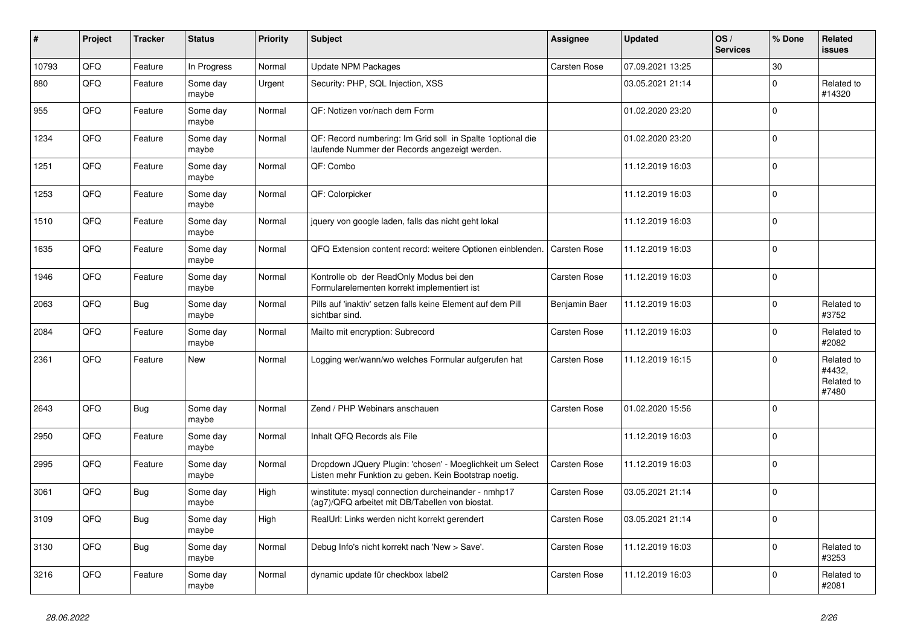| #     | Project    | <b>Tracker</b> | <b>Status</b>     | <b>Priority</b> | <b>Subject</b>                                                                                                     | <b>Assignee</b>     | <b>Updated</b>   | OS/<br><b>Services</b> | % Done         | Related<br><b>issues</b>                    |
|-------|------------|----------------|-------------------|-----------------|--------------------------------------------------------------------------------------------------------------------|---------------------|------------------|------------------------|----------------|---------------------------------------------|
| 10793 | QFQ        | Feature        | In Progress       | Normal          | <b>Update NPM Packages</b>                                                                                         | <b>Carsten Rose</b> | 07.09.2021 13:25 |                        | 30             |                                             |
| 880   | QFQ        | Feature        | Some day<br>maybe | Urgent          | Security: PHP, SQL Injection, XSS                                                                                  |                     | 03.05.2021 21:14 |                        | $\Omega$       | Related to<br>#14320                        |
| 955   | QFQ        | Feature        | Some day<br>maybe | Normal          | QF: Notizen vor/nach dem Form                                                                                      |                     | 01.02.2020 23:20 |                        | $\mathbf{0}$   |                                             |
| 1234  | QFQ        | Feature        | Some day<br>maybe | Normal          | QF: Record numbering: Im Grid soll in Spalte 1 optional die<br>laufende Nummer der Records angezeigt werden.       |                     | 01.02.2020 23:20 |                        | $\mathbf 0$    |                                             |
| 1251  | QFQ        | Feature        | Some day<br>maybe | Normal          | QF: Combo                                                                                                          |                     | 11.12.2019 16:03 |                        | $\Omega$       |                                             |
| 1253  | QFQ        | Feature        | Some day<br>maybe | Normal          | QF: Colorpicker                                                                                                    |                     | 11.12.2019 16:03 |                        | $\mathbf 0$    |                                             |
| 1510  | QFQ        | Feature        | Some day<br>maybe | Normal          | jquery von google laden, falls das nicht geht lokal                                                                |                     | 11.12.2019 16:03 |                        | $\Omega$       |                                             |
| 1635  | QFQ        | Feature        | Some day<br>maybe | Normal          | QFQ Extension content record: weitere Optionen einblenden.                                                         | <b>Carsten Rose</b> | 11.12.2019 16:03 |                        | $\Omega$       |                                             |
| 1946  | QFQ        | Feature        | Some day<br>maybe | Normal          | Kontrolle ob der ReadOnly Modus bei den<br>Formularelementen korrekt implementiert ist                             | <b>Carsten Rose</b> | 11.12.2019 16:03 |                        | $\mathbf{0}$   |                                             |
| 2063  | QFQ        | <b>Bug</b>     | Some day<br>maybe | Normal          | Pills auf 'inaktiv' setzen falls keine Element auf dem Pill<br>sichtbar sind.                                      | Benjamin Baer       | 11.12.2019 16:03 |                        | $\Omega$       | Related to<br>#3752                         |
| 2084  | QFQ        | Feature        | Some day<br>maybe | Normal          | Mailto mit encryption: Subrecord                                                                                   | <b>Carsten Rose</b> | 11.12.2019 16:03 |                        | $\Omega$       | Related to<br>#2082                         |
| 2361  | <b>OFO</b> | Feature        | New               | Normal          | Logging wer/wann/wo welches Formular aufgerufen hat                                                                | <b>Carsten Rose</b> | 11.12.2019 16:15 |                        | $\Omega$       | Related to<br>#4432.<br>Related to<br>#7480 |
| 2643  | QFQ        | <b>Bug</b>     | Some day<br>maybe | Normal          | Zend / PHP Webinars anschauen                                                                                      | <b>Carsten Rose</b> | 01.02.2020 15:56 |                        | $\overline{0}$ |                                             |
| 2950  | QFQ        | Feature        | Some day<br>maybe | Normal          | Inhalt QFQ Records als File                                                                                        |                     | 11.12.2019 16:03 |                        | $\Omega$       |                                             |
| 2995  | QFQ        | Feature        | Some day<br>maybe | Normal          | Dropdown JQuery Plugin: 'chosen' - Moeglichkeit um Select<br>Listen mehr Funktion zu geben. Kein Bootstrap noetig. | <b>Carsten Rose</b> | 11.12.2019 16:03 |                        | $\mathbf 0$    |                                             |
| 3061  | QFQ        | <b>Bug</b>     | Some day<br>maybe | High            | winstitute: mysql connection durcheinander - nmhp17<br>(ag7)/QFQ arbeitet mit DB/Tabellen von biostat.             | Carsten Rose        | 03.05.2021 21:14 |                        | $\Omega$       |                                             |
| 3109  | QFQ        | <b>Bug</b>     | Some day<br>maybe | High            | RealUrl: Links werden nicht korrekt gerendert                                                                      | Carsten Rose        | 03.05.2021 21:14 |                        | $\Omega$       |                                             |
| 3130  | QFQ        | <b>Bug</b>     | Some day<br>maybe | Normal          | Debug Info's nicht korrekt nach 'New > Save'.                                                                      | Carsten Rose        | 11.12.2019 16:03 |                        | $\Omega$       | Related to<br>#3253                         |
| 3216  | QFQ        | Feature        | Some day<br>maybe | Normal          | dynamic update für checkbox label2                                                                                 | <b>Carsten Rose</b> | 11.12.2019 16:03 |                        | $\Omega$       | Related to<br>#2081                         |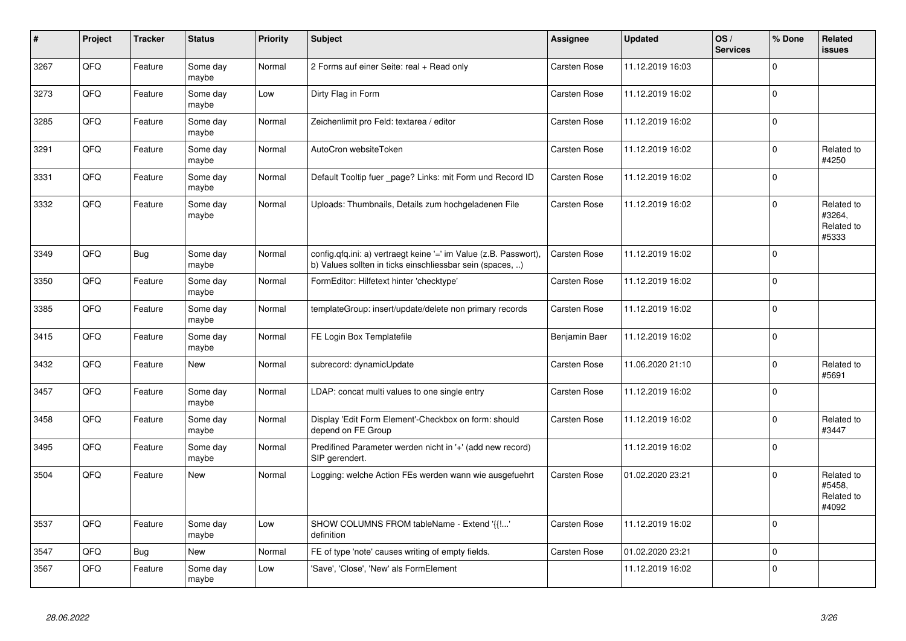| #    | Project | <b>Tracker</b> | <b>Status</b>     | <b>Priority</b> | <b>Subject</b>                                                                                                                | Assignee            | <b>Updated</b>   | OS/<br><b>Services</b> | % Done         | Related<br><b>issues</b>                    |
|------|---------|----------------|-------------------|-----------------|-------------------------------------------------------------------------------------------------------------------------------|---------------------|------------------|------------------------|----------------|---------------------------------------------|
| 3267 | QFQ     | Feature        | Some day<br>maybe | Normal          | 2 Forms auf einer Seite: real + Read only                                                                                     | <b>Carsten Rose</b> | 11.12.2019 16:03 |                        | $\Omega$       |                                             |
| 3273 | QFQ     | Feature        | Some day<br>maybe | Low             | Dirty Flag in Form                                                                                                            | Carsten Rose        | 11.12.2019 16:02 |                        | $\Omega$       |                                             |
| 3285 | QFQ     | Feature        | Some day<br>maybe | Normal          | Zeichenlimit pro Feld: textarea / editor                                                                                      | Carsten Rose        | 11.12.2019 16:02 |                        | $\overline{0}$ |                                             |
| 3291 | QFQ     | Feature        | Some day<br>maybe | Normal          | AutoCron websiteToken                                                                                                         | <b>Carsten Rose</b> | 11.12.2019 16:02 |                        | $\Omega$       | Related to<br>#4250                         |
| 3331 | QFQ     | Feature        | Some day<br>maybe | Normal          | Default Tooltip fuer _page? Links: mit Form und Record ID                                                                     | Carsten Rose        | 11.12.2019 16:02 |                        | $\Omega$       |                                             |
| 3332 | QFQ     | Feature        | Some day<br>maybe | Normal          | Uploads: Thumbnails, Details zum hochgeladenen File                                                                           | Carsten Rose        | 11.12.2019 16:02 |                        | $\Omega$       | Related to<br>#3264,<br>Related to<br>#5333 |
| 3349 | QFQ     | Bug            | Some day<br>maybe | Normal          | config.qfq.ini: a) vertraegt keine '=' im Value (z.B. Passwort),<br>b) Values sollten in ticks einschliessbar sein (spaces, ) | <b>Carsten Rose</b> | 11.12.2019 16:02 |                        | $\Omega$       |                                             |
| 3350 | QFQ     | Feature        | Some day<br>maybe | Normal          | FormEditor: Hilfetext hinter 'checktype'                                                                                      | <b>Carsten Rose</b> | 11.12.2019 16:02 |                        | $\mathbf 0$    |                                             |
| 3385 | QFQ     | Feature        | Some day<br>maybe | Normal          | templateGroup: insert/update/delete non primary records                                                                       | Carsten Rose        | 11.12.2019 16:02 |                        | $\mathbf 0$    |                                             |
| 3415 | QFQ     | Feature        | Some day<br>maybe | Normal          | FE Login Box Templatefile                                                                                                     | Benjamin Baer       | 11.12.2019 16:02 |                        | $\Omega$       |                                             |
| 3432 | QFQ     | Feature        | New               | Normal          | subrecord: dynamicUpdate                                                                                                      | <b>Carsten Rose</b> | 11.06.2020 21:10 |                        | $\Omega$       | Related to<br>#5691                         |
| 3457 | QFQ     | Feature        | Some day<br>maybe | Normal          | LDAP: concat multi values to one single entry                                                                                 | Carsten Rose        | 11.12.2019 16:02 |                        | $\Omega$       |                                             |
| 3458 | QFQ     | Feature        | Some day<br>maybe | Normal          | Display 'Edit Form Element'-Checkbox on form: should<br>depend on FE Group                                                    | <b>Carsten Rose</b> | 11.12.2019 16:02 |                        | $\Omega$       | Related to<br>#3447                         |
| 3495 | QFQ     | Feature        | Some day<br>maybe | Normal          | Predifined Parameter werden nicht in '+' (add new record)<br>SIP gerendert.                                                   |                     | 11.12.2019 16:02 |                        | $\mathbf{0}$   |                                             |
| 3504 | QFQ     | Feature        | New               | Normal          | Logging: welche Action FEs werden wann wie ausgefuehrt                                                                        | Carsten Rose        | 01.02.2020 23:21 |                        | $\mathbf{0}$   | Related to<br>#5458,<br>Related to<br>#4092 |
| 3537 | QFQ     | Feature        | Some day<br>maybe | Low             | SHOW COLUMNS FROM tableName - Extend '{{'<br>definition                                                                       | <b>Carsten Rose</b> | 11.12.2019 16:02 |                        | $\overline{0}$ |                                             |
| 3547 | QFQ     | <b>Bug</b>     | New               | Normal          | FE of type 'note' causes writing of empty fields.                                                                             | <b>Carsten Rose</b> | 01.02.2020 23:21 |                        | $\mathbf{0}$   |                                             |
| 3567 | QFQ     | Feature        | Some day<br>maybe | Low             | 'Save', 'Close', 'New' als FormElement                                                                                        |                     | 11.12.2019 16:02 |                        | $\overline{0}$ |                                             |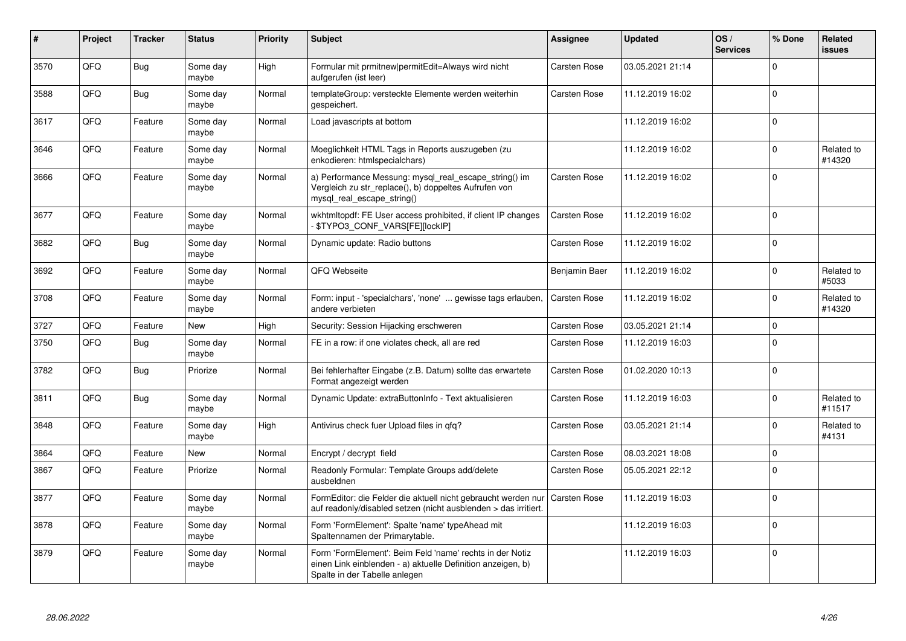| #    | Project | <b>Tracker</b> | <b>Status</b>     | <b>Priority</b> | <b>Subject</b>                                                                                                                                           | Assignee            | <b>Updated</b>   | OS/<br><b>Services</b> | % Done   | Related<br><b>issues</b> |
|------|---------|----------------|-------------------|-----------------|----------------------------------------------------------------------------------------------------------------------------------------------------------|---------------------|------------------|------------------------|----------|--------------------------|
| 3570 | QFQ     | <b>Bug</b>     | Some day<br>maybe | High            | Formular mit prmitnew permitEdit=Always wird nicht<br>aufgerufen (ist leer)                                                                              | Carsten Rose        | 03.05.2021 21:14 |                        | $\Omega$ |                          |
| 3588 | QFQ     | <b>Bug</b>     | Some day<br>maybe | Normal          | templateGroup: versteckte Elemente werden weiterhin<br>gespeichert.                                                                                      | Carsten Rose        | 11.12.2019 16:02 |                        | $\Omega$ |                          |
| 3617 | QFQ     | Feature        | Some day<br>maybe | Normal          | Load javascripts at bottom                                                                                                                               |                     | 11.12.2019 16:02 |                        | $\Omega$ |                          |
| 3646 | QFQ     | Feature        | Some day<br>maybe | Normal          | Moeglichkeit HTML Tags in Reports auszugeben (zu<br>enkodieren: htmlspecialchars)                                                                        |                     | 11.12.2019 16:02 |                        | $\Omega$ | Related to<br>#14320     |
| 3666 | QFQ     | Feature        | Some day<br>maybe | Normal          | a) Performance Messung: mysql_real_escape_string() im<br>Vergleich zu str_replace(), b) doppeltes Aufrufen von<br>mysql_real_escape_string()             | <b>Carsten Rose</b> | 11.12.2019 16:02 |                        | $\Omega$ |                          |
| 3677 | QFQ     | Feature        | Some day<br>maybe | Normal          | wkhtmitopdf: FE User access prohibited, if client IP changes<br>\$TYPO3_CONF_VARS[FE][lockIP]                                                            | Carsten Rose        | 11.12.2019 16:02 |                        | $\Omega$ |                          |
| 3682 | QFQ     | <b>Bug</b>     | Some day<br>maybe | Normal          | Dynamic update: Radio buttons                                                                                                                            | Carsten Rose        | 11.12.2019 16:02 |                        | $\Omega$ |                          |
| 3692 | QFQ     | Feature        | Some day<br>maybe | Normal          | QFQ Webseite                                                                                                                                             | Benjamin Baer       | 11.12.2019 16:02 |                        | $\Omega$ | Related to<br>#5033      |
| 3708 | QFQ     | Feature        | Some day<br>maybe | Normal          | Form: input - 'specialchars', 'none'  gewisse tags erlauben,<br>andere verbieten                                                                         | <b>Carsten Rose</b> | 11.12.2019 16:02 |                        | $\Omega$ | Related to<br>#14320     |
| 3727 | QFQ     | Feature        | New               | High            | Security: Session Hijacking erschweren                                                                                                                   | Carsten Rose        | 03.05.2021 21:14 |                        | 0        |                          |
| 3750 | QFQ     | <b>Bug</b>     | Some day<br>maybe | Normal          | FE in a row: if one violates check, all are red                                                                                                          | Carsten Rose        | 11.12.2019 16:03 |                        | $\Omega$ |                          |
| 3782 | QFQ     | <b>Bug</b>     | Priorize          | Normal          | Bei fehlerhafter Eingabe (z.B. Datum) sollte das erwartete<br>Format angezeigt werden                                                                    | Carsten Rose        | 01.02.2020 10:13 |                        | $\Omega$ |                          |
| 3811 | QFQ     | <b>Bug</b>     | Some day<br>maybe | Normal          | Dynamic Update: extraButtonInfo - Text aktualisieren                                                                                                     | Carsten Rose        | 11.12.2019 16:03 |                        | $\Omega$ | Related to<br>#11517     |
| 3848 | QFQ     | Feature        | Some day<br>maybe | High            | Antivirus check fuer Upload files in qfq?                                                                                                                | Carsten Rose        | 03.05.2021 21:14 |                        | 0        | Related to<br>#4131      |
| 3864 | QFQ     | Feature        | New               | Normal          | Encrypt / decrypt field                                                                                                                                  | Carsten Rose        | 08.03.2021 18:08 |                        | 0        |                          |
| 3867 | QFQ     | Feature        | Priorize          | Normal          | Readonly Formular: Template Groups add/delete<br>ausbeldnen                                                                                              | Carsten Rose        | 05.05.2021 22:12 |                        | $\Omega$ |                          |
| 3877 | QFQ     | Feature        | Some day<br>maybe | Normal          | FormEditor: die Felder die aktuell nicht gebraucht werden nur<br>auf readonly/disabled setzen (nicht ausblenden > das irritiert.                         | <b>Carsten Rose</b> | 11.12.2019 16:03 |                        | $\Omega$ |                          |
| 3878 | QFQ     | Feature        | Some day<br>maybe | Normal          | Form 'FormElement': Spalte 'name' typeAhead mit<br>Spaltennamen der Primarytable.                                                                        |                     | 11.12.2019 16:03 |                        | $\Omega$ |                          |
| 3879 | QFQ     | Feature        | Some day<br>maybe | Normal          | Form 'FormElement': Beim Feld 'name' rechts in der Notiz<br>einen Link einblenden - a) aktuelle Definition anzeigen, b)<br>Spalte in der Tabelle anlegen |                     | 11.12.2019 16:03 |                        | $\Omega$ |                          |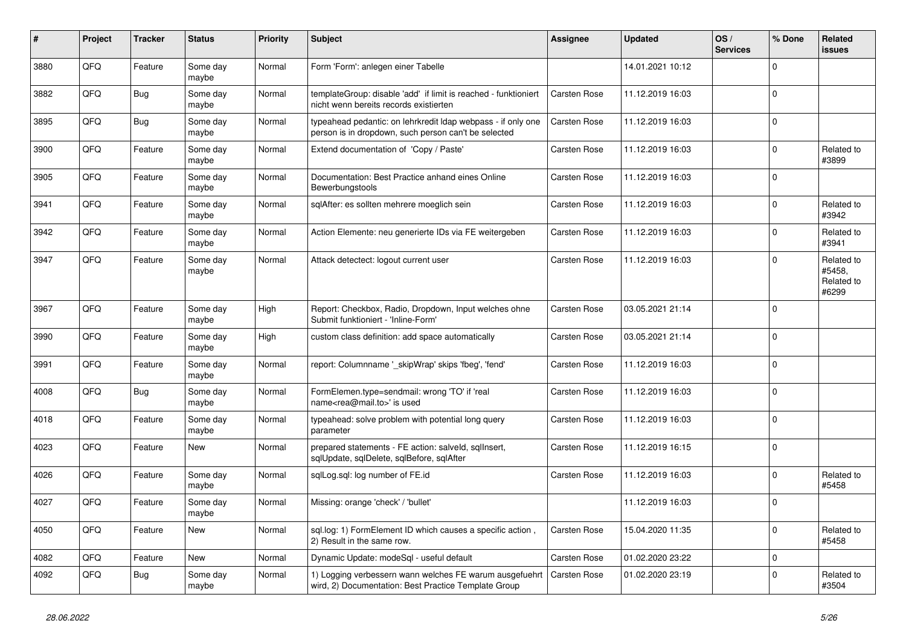| #    | Project | <b>Tracker</b> | <b>Status</b>     | <b>Priority</b> | <b>Subject</b>                                                                                                       | <b>Assignee</b>     | <b>Updated</b>   | OS/<br><b>Services</b> | % Done      | <b>Related</b><br><b>issues</b>             |
|------|---------|----------------|-------------------|-----------------|----------------------------------------------------------------------------------------------------------------------|---------------------|------------------|------------------------|-------------|---------------------------------------------|
| 3880 | QFQ     | Feature        | Some day<br>maybe | Normal          | Form 'Form': anlegen einer Tabelle                                                                                   |                     | 14.01.2021 10:12 |                        | $\Omega$    |                                             |
| 3882 | QFQ     | Bug            | Some day<br>maybe | Normal          | templateGroup: disable 'add' if limit is reached - funktioniert<br>nicht wenn bereits records existierten            | <b>Carsten Rose</b> | 11.12.2019 16:03 |                        | $\mathbf 0$ |                                             |
| 3895 | QFQ     | Bug            | Some day<br>maybe | Normal          | typeahead pedantic: on lehrkredit Idap webpass - if only one<br>person is in dropdown, such person can't be selected | <b>Carsten Rose</b> | 11.12.2019 16:03 |                        | $\mathbf 0$ |                                             |
| 3900 | QFQ     | Feature        | Some day<br>maybe | Normal          | Extend documentation of 'Copy / Paste'                                                                               | <b>Carsten Rose</b> | 11.12.2019 16:03 |                        | 0           | Related to<br>#3899                         |
| 3905 | QFQ     | Feature        | Some day<br>maybe | Normal          | Documentation: Best Practice anhand eines Online<br>Bewerbungstools                                                  | <b>Carsten Rose</b> | 11.12.2019 16:03 |                        | $\mathbf 0$ |                                             |
| 3941 | QFQ     | Feature        | Some day<br>maybe | Normal          | sqlAfter: es sollten mehrere moeglich sein                                                                           | <b>Carsten Rose</b> | 11.12.2019 16:03 |                        | $\Omega$    | Related to<br>#3942                         |
| 3942 | QFQ     | Feature        | Some day<br>maybe | Normal          | Action Elemente: neu generierte IDs via FE weitergeben                                                               | <b>Carsten Rose</b> | 11.12.2019 16:03 |                        | $\Omega$    | Related to<br>#3941                         |
| 3947 | QFQ     | Feature        | Some day<br>maybe | Normal          | Attack detectect: logout current user                                                                                | <b>Carsten Rose</b> | 11.12.2019 16:03 |                        | $\Omega$    | Related to<br>#5458,<br>Related to<br>#6299 |
| 3967 | QFQ     | Feature        | Some day<br>maybe | High            | Report: Checkbox, Radio, Dropdown, Input welches ohne<br>Submit funktioniert - 'Inline-Form'                         | <b>Carsten Rose</b> | 03.05.2021 21:14 |                        | $\mathbf 0$ |                                             |
| 3990 | QFQ     | Feature        | Some day<br>maybe | High            | custom class definition: add space automatically                                                                     | <b>Carsten Rose</b> | 03.05.2021 21:14 |                        | $\mathbf 0$ |                                             |
| 3991 | QFQ     | Feature        | Some day<br>maybe | Normal          | report: Columnname '_skipWrap' skips 'fbeg', 'fend'                                                                  | <b>Carsten Rose</b> | 11.12.2019 16:03 |                        | $\mathbf 0$ |                                             |
| 4008 | QFQ     | <b>Bug</b>     | Some day<br>maybe | Normal          | FormElemen.type=sendmail: wrong 'TO' if 'real<br>name <rea@mail.to>' is used</rea@mail.to>                           | <b>Carsten Rose</b> | 11.12.2019 16:03 |                        | $\mathbf 0$ |                                             |
| 4018 | QFQ     | Feature        | Some day<br>maybe | Normal          | typeahead: solve problem with potential long query<br>parameter                                                      | <b>Carsten Rose</b> | 11.12.2019 16:03 |                        | $\mathbf 0$ |                                             |
| 4023 | QFQ     | Feature        | New               | Normal          | prepared statements - FE action: salveld, sqllnsert,<br>sqlUpdate, sqlDelete, sqlBefore, sqlAfter                    | <b>Carsten Rose</b> | 11.12.2019 16:15 |                        | $\mathbf 0$ |                                             |
| 4026 | QFQ     | Feature        | Some day<br>maybe | Normal          | salLog.sal: log number of FE.id                                                                                      | <b>Carsten Rose</b> | 11.12.2019 16:03 |                        | $\mathbf 0$ | Related to<br>#5458                         |
| 4027 | QFQ     | Feature        | Some day<br>maybe | Normal          | Missing: orange 'check' / 'bullet'                                                                                   |                     | 11.12.2019 16:03 |                        | $\mathbf 0$ |                                             |
| 4050 | QFQ     | Feature        | New               | Normal          | sql.log: 1) FormElement ID which causes a specific action,<br>2) Result in the same row.                             | <b>Carsten Rose</b> | 15.04.2020 11:35 |                        | $\mathbf 0$ | Related to<br>#5458                         |
| 4082 | QFQ     | Feature        | New               | Normal          | Dynamic Update: modeSql - useful default                                                                             | Carsten Rose        | 01.02.2020 23:22 |                        | $\mathbf 0$ |                                             |
| 4092 | QFQ     | <b>Bug</b>     | Some day<br>maybe | Normal          | 1) Logging verbessern wann welches FE warum ausgefuehrt<br>wird, 2) Documentation: Best Practice Template Group      | Carsten Rose        | 01.02.2020 23:19 |                        | $\mathbf 0$ | Related to<br>#3504                         |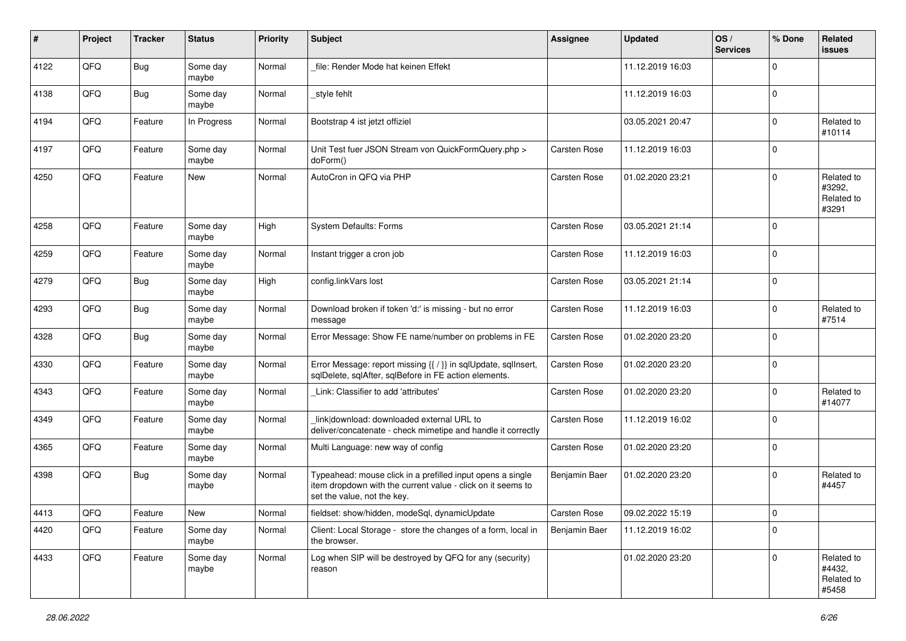| $\pmb{\#}$ | Project        | <b>Tracker</b> | <b>Status</b>     | <b>Priority</b> | <b>Subject</b>                                                                                                                                           | <b>Assignee</b>     | <b>Updated</b>   | OS/<br><b>Services</b> | % Done         | Related<br><b>issues</b>                    |
|------------|----------------|----------------|-------------------|-----------------|----------------------------------------------------------------------------------------------------------------------------------------------------------|---------------------|------------------|------------------------|----------------|---------------------------------------------|
| 4122       | QFQ            | <b>Bug</b>     | Some day<br>maybe | Normal          | file: Render Mode hat keinen Effekt                                                                                                                      |                     | 11.12.2019 16:03 |                        | $\Omega$       |                                             |
| 4138       | QFQ            | <b>Bug</b>     | Some day<br>maybe | Normal          | style fehlt                                                                                                                                              |                     | 11.12.2019 16:03 |                        | $\overline{0}$ |                                             |
| 4194       | QFQ            | Feature        | In Progress       | Normal          | Bootstrap 4 ist jetzt offiziel                                                                                                                           |                     | 03.05.2021 20:47 |                        | $\Omega$       | Related to<br>#10114                        |
| 4197       | QFQ            | Feature        | Some day<br>maybe | Normal          | Unit Test fuer JSON Stream von QuickFormQuery.php ><br>doForm()                                                                                          | Carsten Rose        | 11.12.2019 16:03 |                        | $\mathbf 0$    |                                             |
| 4250       | QFQ            | Feature        | New               | Normal          | AutoCron in QFQ via PHP                                                                                                                                  | Carsten Rose        | 01.02.2020 23:21 |                        | $\Omega$       | Related to<br>#3292,<br>Related to<br>#3291 |
| 4258       | QFQ            | Feature        | Some day<br>maybe | High            | System Defaults: Forms                                                                                                                                   | <b>Carsten Rose</b> | 03.05.2021 21:14 |                        | 0              |                                             |
| 4259       | QFQ            | Feature        | Some day<br>maybe | Normal          | Instant trigger a cron job                                                                                                                               | Carsten Rose        | 11.12.2019 16:03 |                        | $\Omega$       |                                             |
| 4279       | QFQ            | <b>Bug</b>     | Some day<br>maybe | High            | config.linkVars lost                                                                                                                                     | Carsten Rose        | 03.05.2021 21:14 |                        | $\overline{0}$ |                                             |
| 4293       | QFQ            | <b>Bug</b>     | Some day<br>maybe | Normal          | Download broken if token 'd:' is missing - but no error<br>message                                                                                       | Carsten Rose        | 11.12.2019 16:03 |                        | $\Omega$       | Related to<br>#7514                         |
| 4328       | QFQ            | <b>Bug</b>     | Some day<br>maybe | Normal          | Error Message: Show FE name/number on problems in FE                                                                                                     | <b>Carsten Rose</b> | 01.02.2020 23:20 |                        | $\Omega$       |                                             |
| 4330       | QFQ            | Feature        | Some day<br>maybe | Normal          | Error Message: report missing {{ / }} in sqlUpdate, sqlInsert,<br>sqlDelete, sqlAfter, sqlBefore in FE action elements.                                  | <b>Carsten Rose</b> | 01.02.2020 23:20 |                        | $\overline{0}$ |                                             |
| 4343       | QFQ            | Feature        | Some day<br>maybe | Normal          | Link: Classifier to add 'attributes'                                                                                                                     | <b>Carsten Rose</b> | 01.02.2020 23:20 |                        | $\Omega$       | Related to<br>#14077                        |
| 4349       | QFQ            | Feature        | Some day<br>maybe | Normal          | link download: downloaded external URL to<br>deliver/concatenate - check mimetipe and handle it correctly                                                | <b>Carsten Rose</b> | 11.12.2019 16:02 |                        | $\Omega$       |                                             |
| 4365       | QFQ            | Feature        | Some day<br>maybe | Normal          | Multi Language: new way of config                                                                                                                        | Carsten Rose        | 01.02.2020 23:20 |                        | $\Omega$       |                                             |
| 4398       | QFQ            | Bug            | Some day<br>maybe | Normal          | Typeahead: mouse click in a prefilled input opens a single<br>item dropdown with the current value - click on it seems to<br>set the value, not the key. | Benjamin Baer       | 01.02.2020 23:20 |                        | $\overline{0}$ | Related to<br>#4457                         |
| 4413       | $\mathsf{QFQ}$ | Feature        | New               | Normal          | fieldset: show/hidden, modeSql, dynamicUpdate                                                                                                            | Carsten Rose        | 09.02.2022 15:19 |                        | $\pmb{0}$      |                                             |
| 4420       | QFQ            | Feature        | Some day<br>maybe | Normal          | Client: Local Storage - store the changes of a form, local in<br>the browser.                                                                            | Benjamin Baer       | 11.12.2019 16:02 |                        | $\overline{0}$ |                                             |
| 4433       | QFQ            | Feature        | Some day<br>maybe | Normal          | Log when SIP will be destroyed by QFQ for any (security)<br>reason                                                                                       |                     | 01.02.2020 23:20 |                        | $\mathbf 0$    | Related to<br>#4432,<br>Related to<br>#5458 |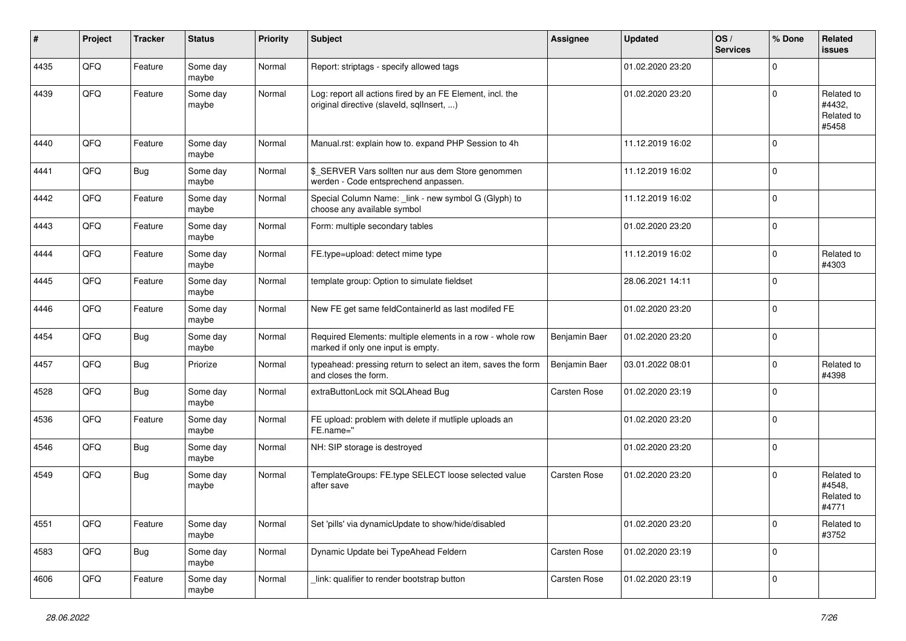| $\vert$ # | Project | <b>Tracker</b> | <b>Status</b>     | <b>Priority</b> | <b>Subject</b>                                                                                         | <b>Assignee</b>     | <b>Updated</b>   | OS/<br><b>Services</b> | % Done         | Related<br><b>issues</b>                    |
|-----------|---------|----------------|-------------------|-----------------|--------------------------------------------------------------------------------------------------------|---------------------|------------------|------------------------|----------------|---------------------------------------------|
| 4435      | QFQ     | Feature        | Some day<br>maybe | Normal          | Report: striptags - specify allowed tags                                                               |                     | 01.02.2020 23:20 |                        | $\Omega$       |                                             |
| 4439      | QFQ     | Feature        | Some day<br>maybe | Normal          | Log: report all actions fired by an FE Element, incl. the<br>original directive (slaveld, sqlInsert, ) |                     | 01.02.2020 23:20 |                        | $\Omega$       | Related to<br>#4432,<br>Related to<br>#5458 |
| 4440      | QFQ     | Feature        | Some day<br>maybe | Normal          | Manual.rst: explain how to. expand PHP Session to 4h                                                   |                     | 11.12.2019 16:02 |                        | $\Omega$       |                                             |
| 4441      | QFQ     | <b>Bug</b>     | Some day<br>maybe | Normal          | \$_SERVER Vars sollten nur aus dem Store genommen<br>werden - Code entsprechend anpassen.              |                     | 11.12.2019 16:02 |                        | $\overline{0}$ |                                             |
| 4442      | QFQ     | Feature        | Some day<br>maybe | Normal          | Special Column Name: _link - new symbol G (Glyph) to<br>choose any available symbol                    |                     | 11.12.2019 16:02 |                        | $\Omega$       |                                             |
| 4443      | QFQ     | Feature        | Some day<br>maybe | Normal          | Form: multiple secondary tables                                                                        |                     | 01.02.2020 23:20 |                        | $\overline{0}$ |                                             |
| 4444      | QFQ     | Feature        | Some day<br>maybe | Normal          | FE.type=upload: detect mime type                                                                       |                     | 11.12.2019 16:02 |                        | $\Omega$       | Related to<br>#4303                         |
| 4445      | QFQ     | Feature        | Some day<br>maybe | Normal          | template group: Option to simulate fieldset                                                            |                     | 28.06.2021 14:11 |                        | $\overline{0}$ |                                             |
| 4446      | QFQ     | Feature        | Some day<br>maybe | Normal          | New FE get same feldContainerId as last modifed FE                                                     |                     | 01.02.2020 23:20 |                        | $\Omega$       |                                             |
| 4454      | QFQ     | <b>Bug</b>     | Some day<br>maybe | Normal          | Required Elements: multiple elements in a row - whole row<br>marked if only one input is empty.        | Benjamin Baer       | 01.02.2020 23:20 |                        | $\overline{0}$ |                                             |
| 4457      | QFQ     | <b>Bug</b>     | Priorize          | Normal          | typeahead: pressing return to select an item, saves the form<br>and closes the form.                   | Benjamin Baer       | 03.01.2022 08:01 |                        | $\overline{0}$ | Related to<br>#4398                         |
| 4528      | QFQ     | Bug            | Some day<br>maybe | Normal          | extraButtonLock mit SQLAhead Bug                                                                       | <b>Carsten Rose</b> | 01.02.2020 23:19 |                        | $\Omega$       |                                             |
| 4536      | QFQ     | Feature        | Some day<br>maybe | Normal          | FE upload: problem with delete if mutliple uploads an<br>FE.name="                                     |                     | 01.02.2020 23:20 |                        | $\overline{0}$ |                                             |
| 4546      | QFQ     | <b>Bug</b>     | Some day<br>maybe | Normal          | NH: SIP storage is destroyed                                                                           |                     | 01.02.2020 23:20 |                        | $\Omega$       |                                             |
| 4549      | QFQ     | <b>Bug</b>     | Some day<br>maybe | Normal          | TemplateGroups: FE.type SELECT loose selected value<br>after save                                      | <b>Carsten Rose</b> | 01.02.2020 23:20 |                        | $\Omega$       | Related to<br>#4548,<br>Related to<br>#4771 |
| 4551      | QFG     | Feature        | Some day<br>maybe | Normal          | Set 'pills' via dynamicUpdate to show/hide/disabled                                                    |                     | 01.02.2020 23:20 |                        | $\overline{0}$ | Related to<br>#3752                         |
| 4583      | QFO     | <b>Bug</b>     | Some day<br>maybe | Normal          | Dynamic Update bei TypeAhead Feldern                                                                   | Carsten Rose        | 01.02.2020 23:19 |                        | $\overline{0}$ |                                             |
| 4606      | QFQ     | Feature        | Some day<br>maybe | Normal          | link: qualifier to render bootstrap button                                                             | Carsten Rose        | 01.02.2020 23:19 |                        | $\mathbf{0}$   |                                             |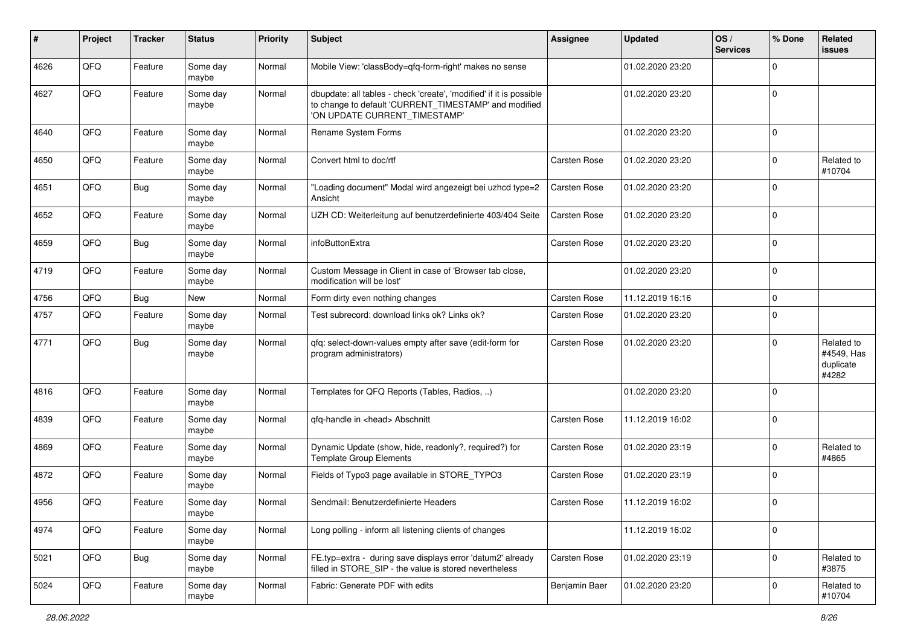| ∦    | Project | <b>Tracker</b> | <b>Status</b>     | <b>Priority</b> | Subject                                                                                                                                                       | <b>Assignee</b>     | <b>Updated</b>   | OS/<br><b>Services</b> | % Done         | Related<br><b>issues</b>                       |
|------|---------|----------------|-------------------|-----------------|---------------------------------------------------------------------------------------------------------------------------------------------------------------|---------------------|------------------|------------------------|----------------|------------------------------------------------|
| 4626 | QFQ     | Feature        | Some day<br>maybe | Normal          | Mobile View: 'classBody=qfq-form-right' makes no sense                                                                                                        |                     | 01.02.2020 23:20 |                        | $\Omega$       |                                                |
| 4627 | QFQ     | Feature        | Some day<br>maybe | Normal          | dbupdate: all tables - check 'create', 'modified' if it is possible<br>to change to default 'CURRENT_TIMESTAMP' and modified<br>'ON UPDATE CURRENT_TIMESTAMP' |                     | 01.02.2020 23:20 |                        | $\mathbf 0$    |                                                |
| 4640 | QFQ     | Feature        | Some day<br>maybe | Normal          | Rename System Forms                                                                                                                                           |                     | 01.02.2020 23:20 |                        | $\overline{0}$ |                                                |
| 4650 | QFQ     | Feature        | Some day<br>maybe | Normal          | Convert html to doc/rtf                                                                                                                                       | Carsten Rose        | 01.02.2020 23:20 |                        | $\Omega$       | Related to<br>#10704                           |
| 4651 | QFQ     | <b>Bug</b>     | Some day<br>maybe | Normal          | 'Loading document" Modal wird angezeigt bei uzhcd type=2<br>Ansicht                                                                                           | <b>Carsten Rose</b> | 01.02.2020 23:20 |                        | $\Omega$       |                                                |
| 4652 | QFQ     | Feature        | Some day<br>maybe | Normal          | UZH CD: Weiterleitung auf benutzerdefinierte 403/404 Seite                                                                                                    | <b>Carsten Rose</b> | 01.02.2020 23:20 |                        | $\mathbf 0$    |                                                |
| 4659 | QFQ     | <b>Bug</b>     | Some day<br>maybe | Normal          | infoButtonExtra                                                                                                                                               | <b>Carsten Rose</b> | 01.02.2020 23:20 |                        | $\Omega$       |                                                |
| 4719 | QFQ     | Feature        | Some day<br>maybe | Normal          | Custom Message in Client in case of 'Browser tab close,<br>modification will be lost'                                                                         |                     | 01.02.2020 23:20 |                        | $\overline{0}$ |                                                |
| 4756 | QFQ     | <b>Bug</b>     | <b>New</b>        | Normal          | Form dirty even nothing changes                                                                                                                               | <b>Carsten Rose</b> | 11.12.2019 16:16 |                        | $\Omega$       |                                                |
| 4757 | QFQ     | Feature        | Some day<br>maybe | Normal          | Test subrecord: download links ok? Links ok?                                                                                                                  | Carsten Rose        | 01.02.2020 23:20 |                        | $\Omega$       |                                                |
| 4771 | QFQ     | <b>Bug</b>     | Some day<br>maybe | Normal          | qfq: select-down-values empty after save (edit-form for<br>program administrators)                                                                            | <b>Carsten Rose</b> | 01.02.2020 23:20 |                        | $\Omega$       | Related to<br>#4549, Has<br>duplicate<br>#4282 |
| 4816 | QFQ     | Feature        | Some day<br>maybe | Normal          | Templates for QFQ Reports (Tables, Radios, )                                                                                                                  |                     | 01.02.2020 23:20 |                        | $\Omega$       |                                                |
| 4839 | QFQ     | Feature        | Some day<br>maybe | Normal          | qfq-handle in <head> Abschnitt</head>                                                                                                                         | <b>Carsten Rose</b> | 11.12.2019 16:02 |                        | $\overline{0}$ |                                                |
| 4869 | QFQ     | Feature        | Some day<br>maybe | Normal          | Dynamic Update (show, hide, readonly?, required?) for<br><b>Template Group Elements</b>                                                                       | Carsten Rose        | 01.02.2020 23:19 |                        | $\Omega$       | Related to<br>#4865                            |
| 4872 | QFQ     | Feature        | Some day<br>maybe | Normal          | Fields of Typo3 page available in STORE_TYPO3                                                                                                                 | <b>Carsten Rose</b> | 01.02.2020 23:19 |                        | $\Omega$       |                                                |
| 4956 | QFQ     | Feature        | Some day<br>maybe | Normal          | Sendmail: Benutzerdefinierte Headers                                                                                                                          | <b>Carsten Rose</b> | 11.12.2019 16:02 |                        | $\Omega$       |                                                |
| 4974 | QFO     | Feature        | Some day<br>maybe | Normal          | Long polling - inform all listening clients of changes                                                                                                        |                     | 11.12.2019 16:02 |                        | $\overline{0}$ |                                                |
| 5021 | QFO     | <b>Bug</b>     | Some day<br>maybe | Normal          | FE.typ=extra - during save displays error 'datum2' already<br>filled in STORE_SIP - the value is stored nevertheless                                          | Carsten Rose        | 01.02.2020 23:19 |                        | $\overline{0}$ | Related to<br>#3875                            |
| 5024 | QFQ     | Feature        | Some day<br>maybe | Normal          | Fabric: Generate PDF with edits                                                                                                                               | Benjamin Baer       | 01.02.2020 23:20 |                        | $\mathbf 0$    | Related to<br>#10704                           |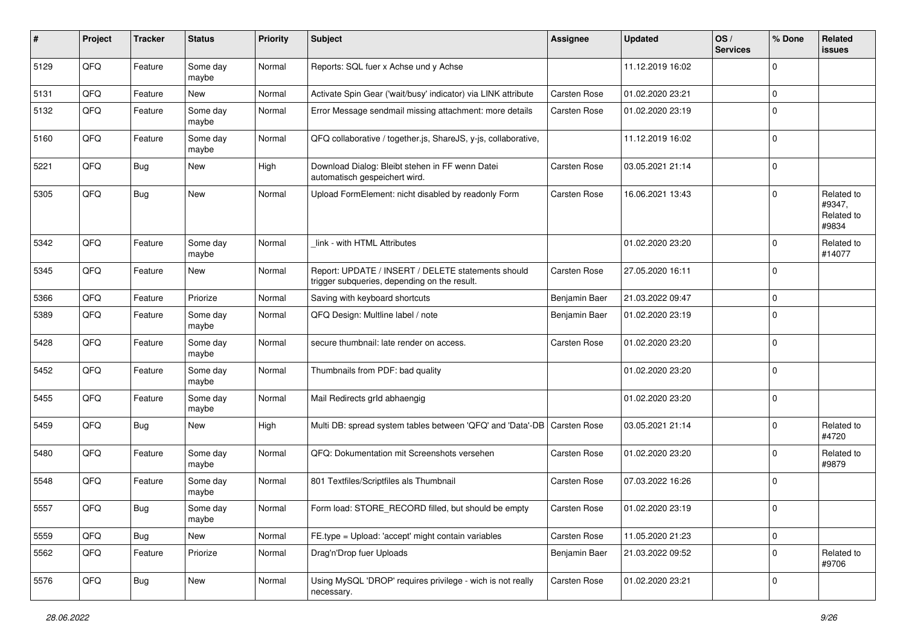| $\sharp$ | Project | <b>Tracker</b> | <b>Status</b>     | <b>Priority</b> | <b>Subject</b>                                                                                     | <b>Assignee</b>     | <b>Updated</b>   | OS/<br><b>Services</b> | % Done      | Related<br><b>issues</b>                    |
|----------|---------|----------------|-------------------|-----------------|----------------------------------------------------------------------------------------------------|---------------------|------------------|------------------------|-------------|---------------------------------------------|
| 5129     | QFQ     | Feature        | Some day<br>maybe | Normal          | Reports: SQL fuer x Achse und y Achse                                                              |                     | 11.12.2019 16:02 |                        | $\Omega$    |                                             |
| 5131     | QFQ     | Feature        | New               | Normal          | Activate Spin Gear ('wait/busy' indicator) via LINK attribute                                      | <b>Carsten Rose</b> | 01.02.2020 23:21 |                        | $\mathbf 0$ |                                             |
| 5132     | QFQ     | Feature        | Some day<br>maybe | Normal          | Error Message sendmail missing attachment: more details                                            | <b>Carsten Rose</b> | 01.02.2020 23:19 |                        | $\Omega$    |                                             |
| 5160     | QFQ     | Feature        | Some day<br>maybe | Normal          | QFQ collaborative / together.js, ShareJS, y-js, collaborative,                                     |                     | 11.12.2019 16:02 |                        | $\mathbf 0$ |                                             |
| 5221     | QFQ     | <b>Bug</b>     | New               | High            | Download Dialog: Bleibt stehen in FF wenn Datei<br>automatisch gespeichert wird.                   | <b>Carsten Rose</b> | 03.05.2021 21:14 |                        | $\Omega$    |                                             |
| 5305     | QFQ     | <b>Bug</b>     | New               | Normal          | Upload FormElement: nicht disabled by readonly Form                                                | <b>Carsten Rose</b> | 16.06.2021 13:43 |                        | $\Omega$    | Related to<br>#9347,<br>Related to<br>#9834 |
| 5342     | QFQ     | Feature        | Some day<br>maybe | Normal          | link - with HTML Attributes                                                                        |                     | 01.02.2020 23:20 |                        | $\Omega$    | Related to<br>#14077                        |
| 5345     | QFQ     | Feature        | New               | Normal          | Report: UPDATE / INSERT / DELETE statements should<br>trigger subqueries, depending on the result. | <b>Carsten Rose</b> | 27.05.2020 16:11 |                        | $\Omega$    |                                             |
| 5366     | QFQ     | Feature        | Priorize          | Normal          | Saving with keyboard shortcuts                                                                     | Benjamin Baer       | 21.03.2022 09:47 |                        | $\mathbf 0$ |                                             |
| 5389     | QFQ     | Feature        | Some day<br>maybe | Normal          | QFQ Design: Multline label / note                                                                  | Benjamin Baer       | 01.02.2020 23:19 |                        | $\Omega$    |                                             |
| 5428     | QFQ     | Feature        | Some day<br>maybe | Normal          | secure thumbnail: late render on access.                                                           | Carsten Rose        | 01.02.2020 23:20 |                        | $\mathbf 0$ |                                             |
| 5452     | QFQ     | Feature        | Some day<br>maybe | Normal          | Thumbnails from PDF: bad quality                                                                   |                     | 01.02.2020 23:20 |                        | $\Omega$    |                                             |
| 5455     | QFQ     | Feature        | Some day<br>maybe | Normal          | Mail Redirects grld abhaengig                                                                      |                     | 01.02.2020 23:20 |                        | $\Omega$    |                                             |
| 5459     | QFQ     | <b>Bug</b>     | New               | High            | Multi DB: spread system tables between 'QFQ' and 'Data'-DB                                         | Carsten Rose        | 03.05.2021 21:14 |                        | $\Omega$    | Related to<br>#4720                         |
| 5480     | QFQ     | Feature        | Some day<br>maybe | Normal          | QFQ: Dokumentation mit Screenshots versehen                                                        | <b>Carsten Rose</b> | 01.02.2020 23:20 |                        | $\Omega$    | Related to<br>#9879                         |
| 5548     | QFQ     | Feature        | Some day<br>maybe | Normal          | 801 Textfiles/Scriptfiles als Thumbnail                                                            | <b>Carsten Rose</b> | 07.03.2022 16:26 |                        | 0           |                                             |
| 5557     | QFQ     | Bug            | Some day<br>maybe | Normal          | Form load: STORE RECORD filled, but should be empty                                                | <b>Carsten Rose</b> | 01.02.2020 23:19 |                        | $\Omega$    |                                             |
| 5559     | QFQ     | <b>Bug</b>     | New               | Normal          | FE.type = Upload: 'accept' might contain variables                                                 | Carsten Rose        | 11.05.2020 21:23 |                        | $\mathbf 0$ |                                             |
| 5562     | QFQ     | Feature        | Priorize          | Normal          | Drag'n'Drop fuer Uploads                                                                           | Benjamin Baer       | 21.03.2022 09:52 |                        | $\mathbf 0$ | Related to<br>#9706                         |
| 5576     | QFQ     | Bug            | New               | Normal          | Using MySQL 'DROP' requires privilege - wich is not really<br>necessary.                           | Carsten Rose        | 01.02.2020 23:21 |                        | 0           |                                             |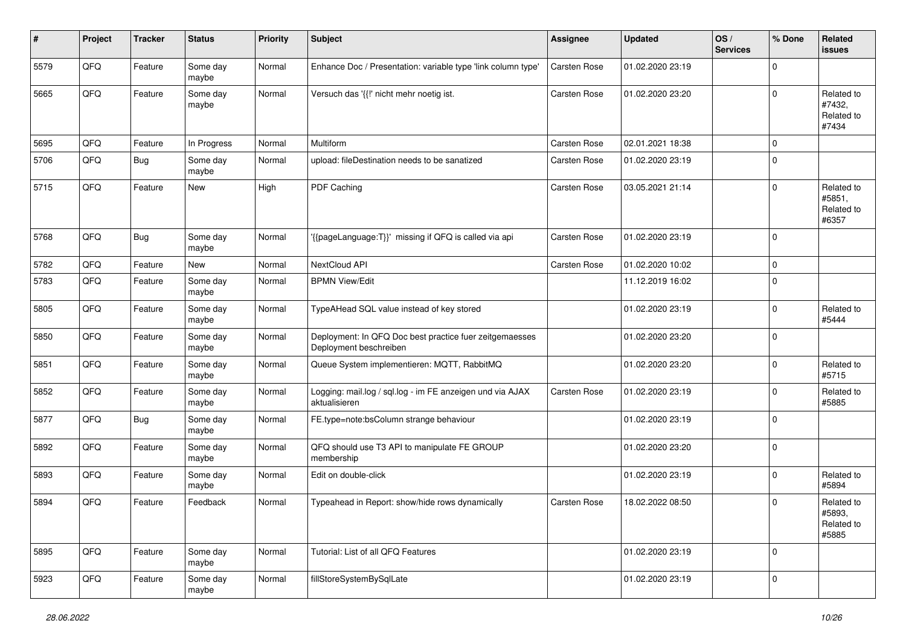| #    | Project | <b>Tracker</b> | <b>Status</b>     | <b>Priority</b> | <b>Subject</b>                                                                    | <b>Assignee</b>     | <b>Updated</b>   | OS/<br><b>Services</b> | % Done       | Related<br><b>issues</b>                    |
|------|---------|----------------|-------------------|-----------------|-----------------------------------------------------------------------------------|---------------------|------------------|------------------------|--------------|---------------------------------------------|
| 5579 | QFQ     | Feature        | Some day<br>maybe | Normal          | Enhance Doc / Presentation: variable type 'link column type'                      | Carsten Rose        | 01.02.2020 23:19 |                        | $\mathbf 0$  |                                             |
| 5665 | QFQ     | Feature        | Some day<br>maybe | Normal          | Versuch das '{{!' nicht mehr noetig ist.                                          | <b>Carsten Rose</b> | 01.02.2020 23:20 |                        | $\mathbf 0$  | Related to<br>#7432,<br>Related to<br>#7434 |
| 5695 | QFQ     | Feature        | In Progress       | Normal          | Multiform                                                                         | Carsten Rose        | 02.01.2021 18:38 |                        | $\mathbf 0$  |                                             |
| 5706 | QFQ     | <b>Bug</b>     | Some day<br>maybe | Normal          | upload: fileDestination needs to be sanatized                                     | Carsten Rose        | 01.02.2020 23:19 |                        | $\mathbf 0$  |                                             |
| 5715 | QFQ     | Feature        | New               | High            | PDF Caching                                                                       | <b>Carsten Rose</b> | 03.05.2021 21:14 |                        | $\mathbf 0$  | Related to<br>#5851,<br>Related to<br>#6357 |
| 5768 | QFQ     | i Bug          | Some day<br>maybe | Normal          | '{{pageLanguage:T}}' missing if QFQ is called via api                             | <b>Carsten Rose</b> | 01.02.2020 23:19 |                        | $\mathbf 0$  |                                             |
| 5782 | QFQ     | Feature        | New               | Normal          | NextCloud API                                                                     | <b>Carsten Rose</b> | 01.02.2020 10:02 |                        | $\mathbf 0$  |                                             |
| 5783 | QFQ     | Feature        | Some day<br>maybe | Normal          | <b>BPMN View/Edit</b>                                                             |                     | 11.12.2019 16:02 |                        | $\mathbf 0$  |                                             |
| 5805 | QFQ     | Feature        | Some day<br>maybe | Normal          | TypeAHead SQL value instead of key stored                                         |                     | 01.02.2020 23:19 |                        | $\Omega$     | Related to<br>#5444                         |
| 5850 | QFQ     | Feature        | Some day<br>maybe | Normal          | Deployment: In QFQ Doc best practice fuer zeitgemaesses<br>Deployment beschreiben |                     | 01.02.2020 23:20 |                        | $\mathbf{0}$ |                                             |
| 5851 | QFQ     | Feature        | Some day<br>maybe | Normal          | Queue System implementieren: MQTT, RabbitMQ                                       |                     | 01.02.2020 23:20 |                        | $\mathbf 0$  | Related to<br>#5715                         |
| 5852 | QFQ     | Feature        | Some day<br>maybe | Normal          | Logging: mail.log / sql.log - im FE anzeigen und via AJAX<br>aktualisieren        | <b>Carsten Rose</b> | 01.02.2020 23:19 |                        | $\mathbf 0$  | Related to<br>#5885                         |
| 5877 | QFQ     | <b>Bug</b>     | Some day<br>maybe | Normal          | FE.type=note:bsColumn strange behaviour                                           |                     | 01.02.2020 23:19 |                        | $\mathbf 0$  |                                             |
| 5892 | QFQ     | Feature        | Some day<br>maybe | Normal          | QFQ should use T3 API to manipulate FE GROUP<br>membership                        |                     | 01.02.2020 23:20 |                        | $\mathbf 0$  |                                             |
| 5893 | QFQ     | Feature        | Some day<br>maybe | Normal          | Edit on double-click                                                              |                     | 01.02.2020 23:19 |                        | $\mathbf 0$  | Related to<br>#5894                         |
| 5894 | QFQ     | Feature        | Feedback          | Normal          | Typeahead in Report: show/hide rows dynamically                                   | Carsten Rose        | 18.02.2022 08:50 |                        | $\mathbf 0$  | Related to<br>#5893,<br>Related to<br>#5885 |
| 5895 | QFQ     | Feature        | Some day<br>maybe | Normal          | Tutorial: List of all QFQ Features                                                |                     | 01.02.2020 23:19 |                        | $\mathbf 0$  |                                             |
| 5923 | QFQ     | Feature        | Some day<br>maybe | Normal          | fillStoreSystemBySqlLate                                                          |                     | 01.02.2020 23:19 |                        | $\mathbf 0$  |                                             |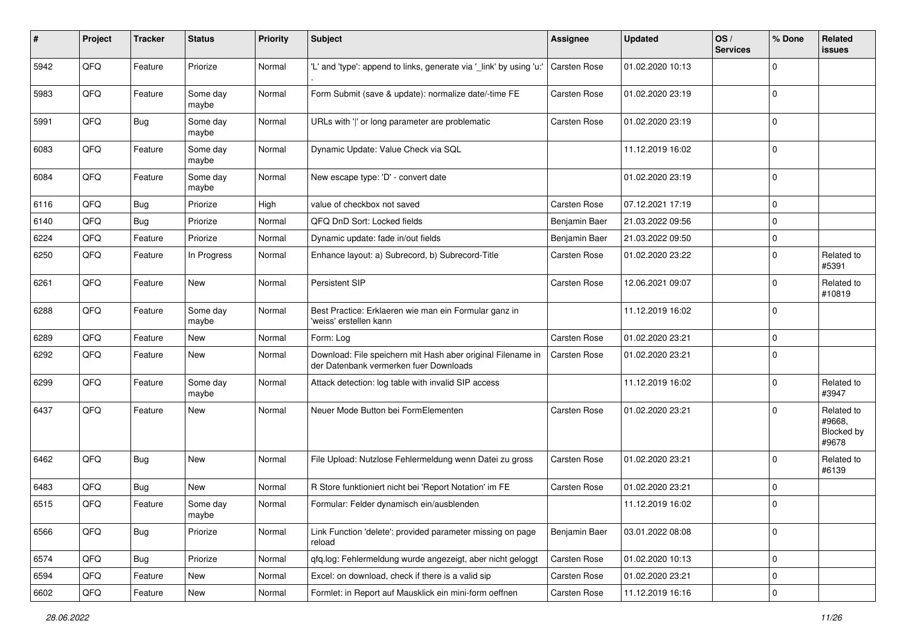| #    | Project        | <b>Tracker</b> | <b>Status</b>     | <b>Priority</b> | Subject                                                                                               | <b>Assignee</b>     | <b>Updated</b>   | OS/<br><b>Services</b> | % Done         | Related<br>issues                           |
|------|----------------|----------------|-------------------|-----------------|-------------------------------------------------------------------------------------------------------|---------------------|------------------|------------------------|----------------|---------------------------------------------|
| 5942 | QFQ            | Feature        | Priorize          | Normal          | 'L' and 'type': append to links, generate via '_link' by using 'u:'                                   | <b>Carsten Rose</b> | 01.02.2020 10:13 |                        | $\Omega$       |                                             |
| 5983 | QFQ            | Feature        | Some day<br>maybe | Normal          | Form Submit (save & update): normalize date/-time FE                                                  | <b>Carsten Rose</b> | 01.02.2020 23:19 |                        | 0              |                                             |
| 5991 | QFQ            | <b>Bug</b>     | Some day<br>maybe | Normal          | URLs with ' ' or long parameter are problematic                                                       | Carsten Rose        | 01.02.2020 23:19 |                        | $\Omega$       |                                             |
| 6083 | QFQ            | Feature        | Some day<br>maybe | Normal          | Dynamic Update: Value Check via SQL                                                                   |                     | 11.12.2019 16:02 |                        | $\mathbf 0$    |                                             |
| 6084 | QFQ            | Feature        | Some day<br>maybe | Normal          | New escape type: 'D' - convert date                                                                   |                     | 01.02.2020 23:19 |                        | $\mathbf 0$    |                                             |
| 6116 | QFQ            | Bug            | Priorize          | High            | value of checkbox not saved                                                                           | <b>Carsten Rose</b> | 07.12.2021 17:19 |                        | $\mathbf 0$    |                                             |
| 6140 | QFQ            | <b>Bug</b>     | Priorize          | Normal          | QFQ DnD Sort: Locked fields                                                                           | Benjamin Baer       | 21.03.2022 09:56 |                        | $\mathbf 0$    |                                             |
| 6224 | QFQ            | Feature        | Priorize          | Normal          | Dynamic update: fade in/out fields                                                                    | Benjamin Baer       | 21.03.2022 09:50 |                        | $\Omega$       |                                             |
| 6250 | QFQ            | Feature        | In Progress       | Normal          | Enhance layout: a) Subrecord, b) Subrecord-Title                                                      | Carsten Rose        | 01.02.2020 23:22 |                        | $\Omega$       | Related to<br>#5391                         |
| 6261 | QFQ            | Feature        | New               | Normal          | Persistent SIP                                                                                        | <b>Carsten Rose</b> | 12.06.2021 09:07 |                        | $\Omega$       | Related to<br>#10819                        |
| 6288 | QFQ            | Feature        | Some day<br>maybe | Normal          | Best Practice: Erklaeren wie man ein Formular ganz in<br>'weiss' erstellen kann                       |                     | 11.12.2019 16:02 |                        | 0              |                                             |
| 6289 | QFQ            | Feature        | <b>New</b>        | Normal          | Form: Log                                                                                             | <b>Carsten Rose</b> | 01.02.2020 23:21 |                        | $\mathbf 0$    |                                             |
| 6292 | QFQ            | Feature        | New               | Normal          | Download: File speichern mit Hash aber original Filename in<br>der Datenbank vermerken fuer Downloads | Carsten Rose        | 01.02.2020 23:21 |                        | $\Omega$       |                                             |
| 6299 | QFQ            | Feature        | Some day<br>maybe | Normal          | Attack detection: log table with invalid SIP access                                                   |                     | 11.12.2019 16:02 |                        | $\Omega$       | Related to<br>#3947                         |
| 6437 | QFQ            | Feature        | New               | Normal          | Neuer Mode Button bei FormElementen                                                                   | Carsten Rose        | 01.02.2020 23:21 |                        | $\Omega$       | Related to<br>#9668,<br>Blocked by<br>#9678 |
| 6462 | QFQ            | <b>Bug</b>     | New               | Normal          | File Upload: Nutzlose Fehlermeldung wenn Datei zu gross                                               | Carsten Rose        | 01.02.2020 23:21 |                        | $\Omega$       | Related to<br>#6139                         |
| 6483 | QFQ            | <b>Bug</b>     | <b>New</b>        | Normal          | R Store funktioniert nicht bei 'Report Notation' im FE                                                | <b>Carsten Rose</b> | 01.02.2020 23:21 |                        | $\overline{0}$ |                                             |
| 6515 | QFQ            | Feature        | Some day<br>maybe | Normal          | Formular: Felder dynamisch ein/ausblenden                                                             |                     | 11.12.2019 16:02 |                        | 0              |                                             |
| 6566 | QFQ            | Bug            | Priorize          | Normal          | Link Function 'delete': provided parameter missing on page<br>reload                                  | Benjamin Baer       | 03.01.2022 08:08 |                        | $\overline{0}$ |                                             |
| 6574 | QFQ            | Bug            | Priorize          | Normal          | qfq.log: Fehlermeldung wurde angezeigt, aber nicht geloggt                                            | Carsten Rose        | 01.02.2020 10:13 |                        | $\overline{0}$ |                                             |
| 6594 | QFQ            | Feature        | New               | Normal          | Excel: on download, check if there is a valid sip                                                     | Carsten Rose        | 01.02.2020 23:21 |                        | 0              |                                             |
| 6602 | $\mathsf{QFQ}$ | Feature        | New               | Normal          | Formlet: in Report auf Mausklick ein mini-form oeffnen                                                | Carsten Rose        | 11.12.2019 16:16 |                        | $\overline{0}$ |                                             |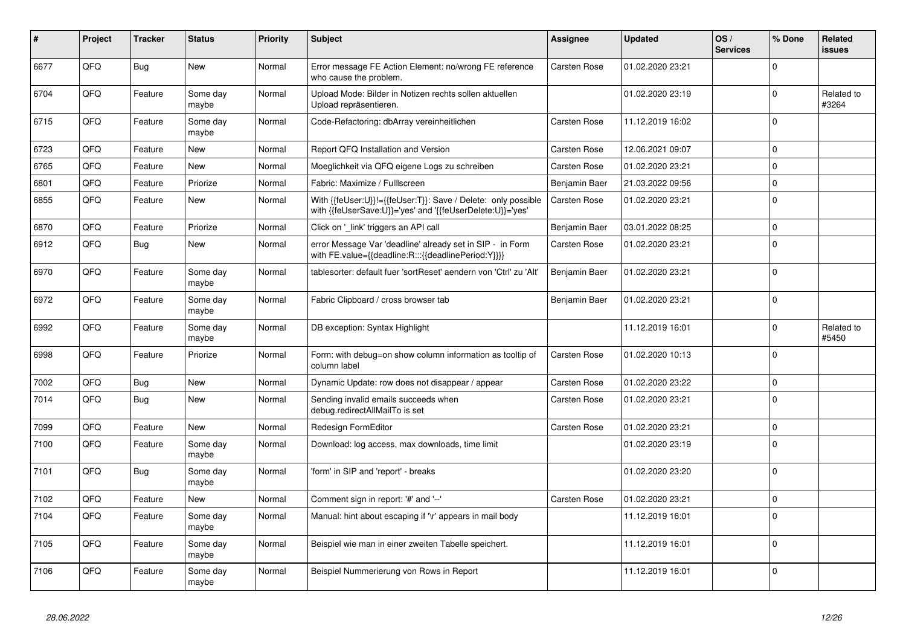| #    | Project | <b>Tracker</b> | <b>Status</b>     | <b>Priority</b> | <b>Subject</b>                                                                                                             | Assignee            | <b>Updated</b>   | OS/<br><b>Services</b> | % Done         | Related<br><b>issues</b> |
|------|---------|----------------|-------------------|-----------------|----------------------------------------------------------------------------------------------------------------------------|---------------------|------------------|------------------------|----------------|--------------------------|
| 6677 | QFQ     | <b>Bug</b>     | New               | Normal          | Error message FE Action Element: no/wrong FE reference<br>who cause the problem.                                           | Carsten Rose        | 01.02.2020 23:21 |                        | $\Omega$       |                          |
| 6704 | QFQ     | Feature        | Some day<br>maybe | Normal          | Upload Mode: Bilder in Notizen rechts sollen aktuellen<br>Upload repräsentieren.                                           |                     | 01.02.2020 23:19 |                        | $\Omega$       | Related to<br>#3264      |
| 6715 | QFQ     | Feature        | Some day<br>maybe | Normal          | Code-Refactoring: dbArray vereinheitlichen                                                                                 | Carsten Rose        | 11.12.2019 16:02 |                        | $\Omega$       |                          |
| 6723 | QFQ     | Feature        | New               | Normal          | Report QFQ Installation and Version                                                                                        | Carsten Rose        | 12.06.2021 09:07 |                        | $\mathbf 0$    |                          |
| 6765 | QFQ     | Feature        | New               | Normal          | Moeglichkeit via QFQ eigene Logs zu schreiben                                                                              | Carsten Rose        | 01.02.2020 23:21 |                        | $\mathbf 0$    |                          |
| 6801 | QFQ     | Feature        | Priorize          | Normal          | Fabric: Maximize / Fulllscreen                                                                                             | Benjamin Baer       | 21.03.2022 09:56 |                        | $\Omega$       |                          |
| 6855 | QFQ     | Feature        | New               | Normal          | With {{feUser:U}}!={{feUser:T}}: Save / Delete: only possible<br>with {{feUserSave:U}}='yes' and '{{feUserDelete:U}}='yes' | <b>Carsten Rose</b> | 01.02.2020 23:21 |                        | $\Omega$       |                          |
| 6870 | QFQ     | Feature        | Priorize          | Normal          | Click on '_link' triggers an API call                                                                                      | Benjamin Baer       | 03.01.2022 08:25 |                        | $\Omega$       |                          |
| 6912 | QFQ     | <b>Bug</b>     | <b>New</b>        | Normal          | error Message Var 'deadline' already set in SIP - in Form<br>with FE.value={{deadline:R:::{{deadlinePeriod:Y}}}}           | Carsten Rose        | 01.02.2020 23:21 |                        | $\Omega$       |                          |
| 6970 | QFQ     | Feature        | Some day<br>maybe | Normal          | tablesorter: default fuer 'sortReset' aendern von 'Ctrl' zu 'Alt'                                                          | Benjamin Baer       | 01.02.2020 23:21 |                        | $\overline{0}$ |                          |
| 6972 | QFQ     | Feature        | Some day<br>maybe | Normal          | Fabric Clipboard / cross browser tab                                                                                       | Benjamin Baer       | 01.02.2020 23:21 |                        | $\Omega$       |                          |
| 6992 | QFQ     | Feature        | Some day<br>maybe | Normal          | DB exception: Syntax Highlight                                                                                             |                     | 11.12.2019 16:01 |                        | $\Omega$       | Related to<br>#5450      |
| 6998 | QFQ     | Feature        | Priorize          | Normal          | Form: with debug=on show column information as tooltip of<br>column label                                                  | Carsten Rose        | 01.02.2020 10:13 |                        | $\Omega$       |                          |
| 7002 | QFQ     | Bug            | New               | Normal          | Dynamic Update: row does not disappear / appear                                                                            | Carsten Rose        | 01.02.2020 23:22 |                        | $\Omega$       |                          |
| 7014 | QFQ     | Bug            | <b>New</b>        | Normal          | Sending invalid emails succeeds when<br>debug.redirectAllMailTo is set                                                     | Carsten Rose        | 01.02.2020 23:21 |                        | $\Omega$       |                          |
| 7099 | QFQ     | Feature        | New               | Normal          | Redesign FormEditor                                                                                                        | <b>Carsten Rose</b> | 01.02.2020 23:21 |                        | $\mathbf 0$    |                          |
| 7100 | QFQ     | Feature        | Some day<br>maybe | Normal          | Download: log access, max downloads, time limit                                                                            |                     | 01.02.2020 23:19 |                        | $\overline{0}$ |                          |
| 7101 | QFQ     | <b>Bug</b>     | Some day<br>maybe | Normal          | 'form' in SIP and 'report' - breaks                                                                                        |                     | 01.02.2020 23:20 |                        | $\Omega$       |                          |
| 7102 | QFQ     | Feature        | <b>New</b>        | Normal          | Comment sign in report: '#' and '--'                                                                                       | Carsten Rose        | 01.02.2020 23:21 |                        | $\Omega$       |                          |
| 7104 | QFQ     | Feature        | Some day<br>maybe | Normal          | Manual: hint about escaping if '\r' appears in mail body                                                                   |                     | 11.12.2019 16:01 |                        | $\Omega$       |                          |
| 7105 | QFQ     | Feature        | Some day<br>maybe | Normal          | Beispiel wie man in einer zweiten Tabelle speichert.                                                                       |                     | 11.12.2019 16:01 |                        | $\Omega$       |                          |
| 7106 | QFQ     | Feature        | Some day<br>maybe | Normal          | Beispiel Nummerierung von Rows in Report                                                                                   |                     | 11.12.2019 16:01 |                        | $\overline{0}$ |                          |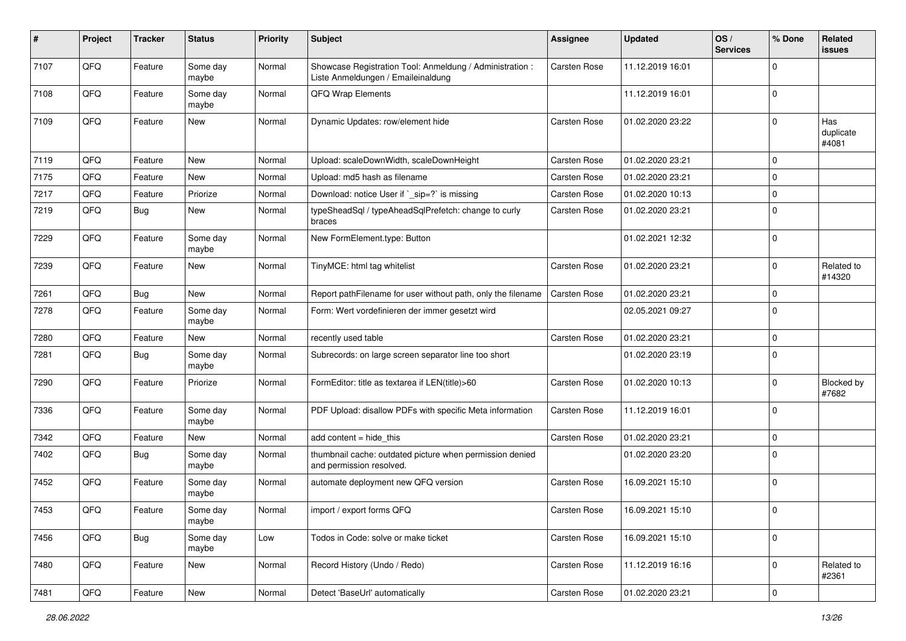| #    | Project | <b>Tracker</b> | <b>Status</b>     | <b>Priority</b> | <b>Subject</b>                                                                                 | <b>Assignee</b>     | <b>Updated</b>   | OS/<br><b>Services</b> | % Done         | Related<br>issues         |
|------|---------|----------------|-------------------|-----------------|------------------------------------------------------------------------------------------------|---------------------|------------------|------------------------|----------------|---------------------------|
| 7107 | QFQ     | Feature        | Some day<br>maybe | Normal          | Showcase Registration Tool: Anmeldung / Administration :<br>Liste Anmeldungen / Emaileinaldung | <b>Carsten Rose</b> | 11.12.2019 16:01 |                        | $\Omega$       |                           |
| 7108 | QFQ     | Feature        | Some day<br>maybe | Normal          | QFQ Wrap Elements                                                                              |                     | 11.12.2019 16:01 |                        | 0              |                           |
| 7109 | QFQ     | Feature        | New               | Normal          | Dynamic Updates: row/element hide                                                              | Carsten Rose        | 01.02.2020 23:22 |                        | $\Omega$       | Has<br>duplicate<br>#4081 |
| 7119 | QFQ     | Feature        | New               | Normal          | Upload: scaleDownWidth, scaleDownHeight                                                        | Carsten Rose        | 01.02.2020 23:21 |                        | $\Omega$       |                           |
| 7175 | QFQ     | Feature        | New               | Normal          | Upload: md5 hash as filename                                                                   | Carsten Rose        | 01.02.2020 23:21 |                        | $\mathbf 0$    |                           |
| 7217 | QFQ     | Feature        | Priorize          | Normal          | Download: notice User if `_sip=?` is missing                                                   | Carsten Rose        | 01.02.2020 10:13 |                        | $\Omega$       |                           |
| 7219 | QFQ     | <b>Bug</b>     | New               | Normal          | typeSheadSql / typeAheadSqlPrefetch: change to curly<br>braces                                 | Carsten Rose        | 01.02.2020 23:21 |                        | $\mathbf 0$    |                           |
| 7229 | QFQ     | Feature        | Some day<br>maybe | Normal          | New FormElement.type: Button                                                                   |                     | 01.02.2021 12:32 |                        | $\Omega$       |                           |
| 7239 | QFQ     | Feature        | New               | Normal          | TinyMCE: html tag whitelist                                                                    | Carsten Rose        | 01.02.2020 23:21 |                        | 0              | Related to<br>#14320      |
| 7261 | QFQ     | <b>Bug</b>     | New               | Normal          | Report pathFilename for user without path, only the filename                                   | <b>Carsten Rose</b> | 01.02.2020 23:21 |                        | $\Omega$       |                           |
| 7278 | QFQ     | Feature        | Some day<br>maybe | Normal          | Form: Wert vordefinieren der immer gesetzt wird                                                |                     | 02.05.2021 09:27 |                        | 0              |                           |
| 7280 | QFQ     | Feature        | New               | Normal          | recently used table                                                                            | <b>Carsten Rose</b> | 01.02.2020 23:21 |                        | $\mathbf 0$    |                           |
| 7281 | QFQ     | <b>Bug</b>     | Some day<br>maybe | Normal          | Subrecords: on large screen separator line too short                                           |                     | 01.02.2020 23:19 |                        | $\Omega$       |                           |
| 7290 | QFQ     | Feature        | Priorize          | Normal          | FormEditor: title as textarea if LEN(title)>60                                                 | Carsten Rose        | 01.02.2020 10:13 |                        | $\Omega$       | Blocked by<br>#7682       |
| 7336 | QFQ     | Feature        | Some day<br>maybe | Normal          | PDF Upload: disallow PDFs with specific Meta information                                       | Carsten Rose        | 11.12.2019 16:01 |                        | $\Omega$       |                           |
| 7342 | QFQ     | Feature        | New               | Normal          | add content = hide_this                                                                        | Carsten Rose        | 01.02.2020 23:21 |                        | $\mathbf 0$    |                           |
| 7402 | QFQ     | <b>Bug</b>     | Some day<br>maybe | Normal          | thumbnail cache: outdated picture when permission denied<br>and permission resolved.           |                     | 01.02.2020 23:20 |                        | 0              |                           |
| 7452 | QFQ     | Feature        | Some day<br>maybe | Normal          | automate deployment new QFQ version                                                            | Carsten Rose        | 16.09.2021 15:10 |                        | $\overline{0}$ |                           |
| 7453 | QFQ     | Feature        | Some day<br>maybe | Normal          | import / export forms QFQ                                                                      | Carsten Rose        | 16.09.2021 15:10 |                        | l O            |                           |
| 7456 | QFQ     | Bug            | Some day<br>maybe | Low             | Todos in Code: solve or make ticket                                                            | Carsten Rose        | 16.09.2021 15:10 |                        | $\overline{0}$ |                           |
| 7480 | QFQ     | Feature        | New               | Normal          | Record History (Undo / Redo)                                                                   | Carsten Rose        | 11.12.2019 16:16 |                        | $\mathbf 0$    | Related to<br>#2361       |
| 7481 | QFG     | Feature        | New               | Normal          | Detect 'BaseUrl' automatically                                                                 | Carsten Rose        | 01.02.2020 23:21 |                        | $\overline{0}$ |                           |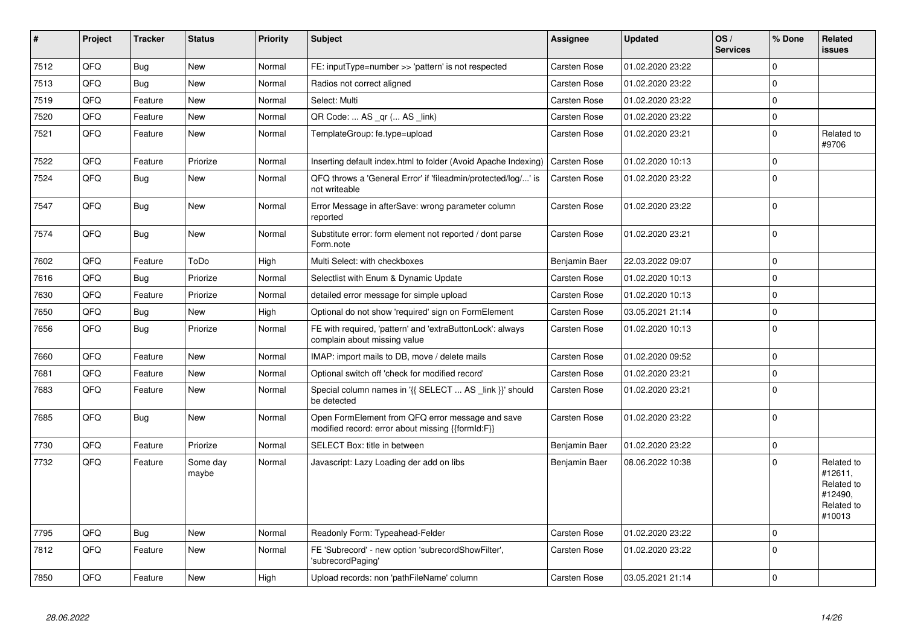| $\vert$ # | Project | <b>Tracker</b> | <b>Status</b>     | <b>Priority</b> | <b>Subject</b>                                                                                        | Assignee            | <b>Updated</b>   | OS/<br><b>Services</b> | % Done      | Related<br>issues                                                      |
|-----------|---------|----------------|-------------------|-----------------|-------------------------------------------------------------------------------------------------------|---------------------|------------------|------------------------|-------------|------------------------------------------------------------------------|
| 7512      | QFQ     | Bug            | New               | Normal          | FE: inputType=number >> 'pattern' is not respected                                                    | Carsten Rose        | 01.02.2020 23:22 |                        | $\Omega$    |                                                                        |
| 7513      | QFQ     | <b>Bug</b>     | New               | Normal          | Radios not correct aligned                                                                            | Carsten Rose        | 01.02.2020 23:22 |                        | $\Omega$    |                                                                        |
| 7519      | QFQ     | Feature        | New               | Normal          | Select: Multi                                                                                         | Carsten Rose        | 01.02.2020 23:22 |                        | $\Omega$    |                                                                        |
| 7520      | QFQ     | Feature        | New               | Normal          | QR Code:  AS _qr ( AS _link)                                                                          | Carsten Rose        | 01.02.2020 23:22 |                        | $\Omega$    |                                                                        |
| 7521      | QFQ     | Feature        | New               | Normal          | TemplateGroup: fe.type=upload                                                                         | Carsten Rose        | 01.02.2020 23:21 |                        | $\Omega$    | Related to<br>#9706                                                    |
| 7522      | QFQ     | Feature        | Priorize          | Normal          | Inserting default index.html to folder (Avoid Apache Indexing)                                        | <b>Carsten Rose</b> | 01.02.2020 10:13 |                        | $\Omega$    |                                                                        |
| 7524      | QFQ     | <b>Bug</b>     | New               | Normal          | QFQ throws a 'General Error' if 'fileadmin/protected/log/' is<br>not writeable                        | Carsten Rose        | 01.02.2020 23:22 |                        | $\Omega$    |                                                                        |
| 7547      | QFQ     | <b>Bug</b>     | New               | Normal          | Error Message in afterSave: wrong parameter column<br>reported                                        | Carsten Rose        | 01.02.2020 23:22 |                        | $\Omega$    |                                                                        |
| 7574      | QFQ     | <b>Bug</b>     | New               | Normal          | Substitute error: form element not reported / dont parse<br>Form.note                                 | Carsten Rose        | 01.02.2020 23:21 |                        | $\Omega$    |                                                                        |
| 7602      | QFQ     | Feature        | ToDo              | High            | Multi Select: with checkboxes                                                                         | Benjamin Baer       | 22.03.2022 09:07 |                        | $\Omega$    |                                                                        |
| 7616      | QFQ     | Bug            | Priorize          | Normal          | Selectlist with Enum & Dynamic Update                                                                 | Carsten Rose        | 01.02.2020 10:13 |                        | $\Omega$    |                                                                        |
| 7630      | QFQ     | Feature        | Priorize          | Normal          | detailed error message for simple upload                                                              | Carsten Rose        | 01.02.2020 10:13 |                        | $\Omega$    |                                                                        |
| 7650      | QFQ     | Bug            | New               | High            | Optional do not show 'required' sign on FormElement                                                   | Carsten Rose        | 03.05.2021 21:14 |                        | $\mathbf 0$ |                                                                        |
| 7656      | QFQ     | Bug            | Priorize          | Normal          | FE with required, 'pattern' and 'extraButtonLock': always<br>complain about missing value             | Carsten Rose        | 01.02.2020 10:13 |                        | $\mathbf 0$ |                                                                        |
| 7660      | QFQ     | Feature        | New               | Normal          | IMAP: import mails to DB, move / delete mails                                                         | Carsten Rose        | 01.02.2020 09:52 |                        | $\Omega$    |                                                                        |
| 7681      | QFQ     | Feature        | New               | Normal          | Optional switch off 'check for modified record'                                                       | Carsten Rose        | 01.02.2020 23:21 |                        | $\mathbf 0$ |                                                                        |
| 7683      | QFQ     | Feature        | New               | Normal          | Special column names in '{{ SELECT  AS _link }}' should<br>be detected                                | Carsten Rose        | 01.02.2020 23:21 |                        | $\mathbf 0$ |                                                                        |
| 7685      | QFQ     | <b>Bug</b>     | New               | Normal          | Open FormElement from QFQ error message and save<br>modified record: error about missing {{formId:F}} | Carsten Rose        | 01.02.2020 23:22 |                        | $\mathbf 0$ |                                                                        |
| 7730      | QFQ     | Feature        | Priorize          | Normal          | SELECT Box: title in between                                                                          | Benjamin Baer       | 01.02.2020 23:22 |                        | $\mathbf 0$ |                                                                        |
| 7732      | QFQ     | Feature        | Some day<br>maybe | Normal          | Javascript: Lazy Loading der add on libs                                                              | Benjamin Baer       | 08.06.2022 10:38 |                        | $\Omega$    | Related to<br>#12611,<br>Related to<br>#12490.<br>Related to<br>#10013 |
| 7795      | QFQ     | <b>Bug</b>     | New               | Normal          | Readonly Form: Typeahead-Felder                                                                       | Carsten Rose        | 01.02.2020 23:22 |                        | $\Omega$    |                                                                        |
| 7812      | QFQ     | Feature        | New               | Normal          | FE 'Subrecord' - new option 'subrecordShowFilter',<br>'subrecordPaging'                               | Carsten Rose        | 01.02.2020 23:22 |                        | $\mathbf 0$ |                                                                        |
| 7850      | QFQ     | Feature        | New               | High            | Upload records: non 'pathFileName' column                                                             | <b>Carsten Rose</b> | 03.05.2021 21:14 |                        | 0           |                                                                        |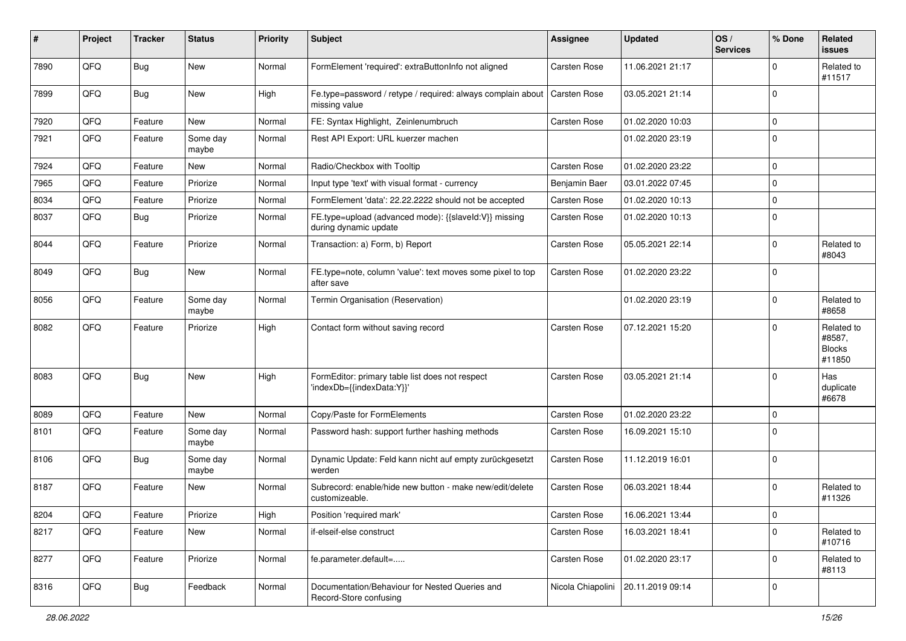| ∦    | Project | <b>Tracker</b> | <b>Status</b>     | <b>Priority</b> | Subject                                                                        | <b>Assignee</b>     | <b>Updated</b>   | OS/<br><b>Services</b> | % Done         | Related<br>issues                               |
|------|---------|----------------|-------------------|-----------------|--------------------------------------------------------------------------------|---------------------|------------------|------------------------|----------------|-------------------------------------------------|
| 7890 | QFQ     | Bug            | New               | Normal          | FormElement 'required': extraButtonInfo not aligned                            | Carsten Rose        | 11.06.2021 21:17 |                        | $\Omega$       | Related to<br>#11517                            |
| 7899 | QFQ     | <b>Bug</b>     | New               | High            | Fe.type=password / retype / required: always complain about<br>missing value   | <b>Carsten Rose</b> | 03.05.2021 21:14 |                        | $\Omega$       |                                                 |
| 7920 | QFQ     | Feature        | <b>New</b>        | Normal          | FE: Syntax Highlight, Zeinlenumbruch                                           | Carsten Rose        | 01.02.2020 10:03 |                        | $\mathbf 0$    |                                                 |
| 7921 | QFQ     | Feature        | Some day<br>maybe | Normal          | Rest API Export: URL kuerzer machen                                            |                     | 01.02.2020 23:19 |                        | $\Omega$       |                                                 |
| 7924 | QFQ     | Feature        | New               | Normal          | Radio/Checkbox with Tooltip                                                    | <b>Carsten Rose</b> | 01.02.2020 23:22 |                        | $\Omega$       |                                                 |
| 7965 | QFQ     | Feature        | Priorize          | Normal          | Input type 'text' with visual format - currency                                | Benjamin Baer       | 03.01.2022 07:45 |                        | $\Omega$       |                                                 |
| 8034 | QFQ     | Feature        | Priorize          | Normal          | FormElement 'data': 22.22.2222 should not be accepted                          | Carsten Rose        | 01.02.2020 10:13 |                        | $\Omega$       |                                                 |
| 8037 | QFQ     | Bug            | Priorize          | Normal          | FE.type=upload (advanced mode): {{slaveId:V}} missing<br>during dynamic update | <b>Carsten Rose</b> | 01.02.2020 10:13 |                        | $\Omega$       |                                                 |
| 8044 | QFQ     | Feature        | Priorize          | Normal          | Transaction: a) Form, b) Report                                                | <b>Carsten Rose</b> | 05.05.2021 22:14 |                        | $\Omega$       | Related to<br>#8043                             |
| 8049 | QFQ     | Bug            | <b>New</b>        | Normal          | FE.type=note, column 'value': text moves some pixel to top<br>after save       | Carsten Rose        | 01.02.2020 23:22 |                        | $\Omega$       |                                                 |
| 8056 | QFQ     | Feature        | Some day<br>maybe | Normal          | Termin Organisation (Reservation)                                              |                     | 01.02.2020 23:19 |                        | $\Omega$       | Related to<br>#8658                             |
| 8082 | QFQ     | Feature        | Priorize          | High            | Contact form without saving record                                             | <b>Carsten Rose</b> | 07.12.2021 15:20 |                        | $\Omega$       | Related to<br>#8587,<br><b>Blocks</b><br>#11850 |
| 8083 | QFQ     | Bug            | New               | High            | FormEditor: primary table list does not respect<br>'indexDb={{indexData:Y}}'   | Carsten Rose        | 03.05.2021 21:14 |                        | $\Omega$       | Has<br>duplicate<br>#6678                       |
| 8089 | QFQ     | Feature        | <b>New</b>        | Normal          | Copy/Paste for FormElements                                                    | <b>Carsten Rose</b> | 01.02.2020 23:22 |                        | $\Omega$       |                                                 |
| 8101 | QFQ     | Feature        | Some day<br>maybe | Normal          | Password hash: support further hashing methods                                 | Carsten Rose        | 16.09.2021 15:10 |                        | $\Omega$       |                                                 |
| 8106 | QFQ     | <b>Bug</b>     | Some day<br>maybe | Normal          | Dynamic Update: Feld kann nicht auf empty zurückgesetzt<br>werden              | Carsten Rose        | 11.12.2019 16:01 |                        | $\Omega$       |                                                 |
| 8187 | QFQ     | Feature        | New               | Normal          | Subrecord: enable/hide new button - make new/edit/delete<br>customizeable.     | Carsten Rose        | 06.03.2021 18:44 |                        | $\Omega$       | Related to<br>#11326                            |
| 8204 | QFQ     | Feature        | Priorize          | High            | Position 'required mark'                                                       | Carsten Rose        | 16.06.2021 13:44 |                        | O              |                                                 |
| 8217 | QFQ     | Feature        | New               | Normal          | if-elseif-else construct                                                       | Carsten Rose        | 16.03.2021 18:41 |                        | $\mathbf 0$    | Related to<br>#10716                            |
| 8277 | QFQ     | Feature        | Priorize          | Normal          | fe.parameter.default=                                                          | Carsten Rose        | 01.02.2020 23:17 |                        | $\mathbf{0}$   | Related to<br>#8113                             |
| 8316 | QFQ     | <b>Bug</b>     | Feedback          | Normal          | Documentation/Behaviour for Nested Queries and<br>Record-Store confusing       | Nicola Chiapolini   | 20.11.2019 09:14 |                        | $\overline{0}$ |                                                 |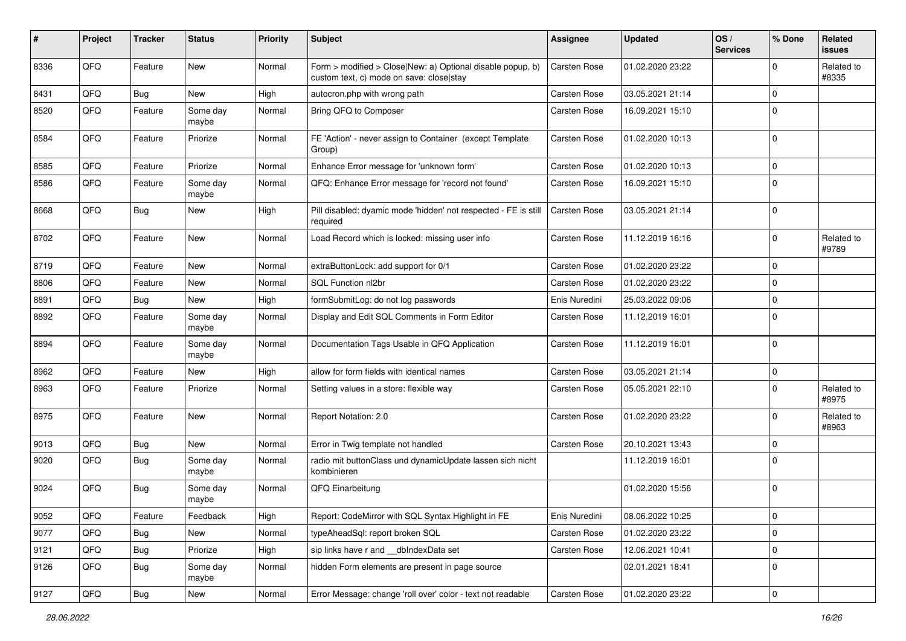| #    | Project | <b>Tracker</b> | <b>Status</b>     | <b>Priority</b> | Subject                                                                                                | <b>Assignee</b>     | <b>Updated</b>   | OS/<br><b>Services</b> | % Done         | Related<br>issues   |
|------|---------|----------------|-------------------|-----------------|--------------------------------------------------------------------------------------------------------|---------------------|------------------|------------------------|----------------|---------------------|
| 8336 | QFQ     | Feature        | New               | Normal          | Form > modified > Close New: a) Optional disable popup, b)<br>custom text, c) mode on save: close stay | <b>Carsten Rose</b> | 01.02.2020 23:22 |                        | $\Omega$       | Related to<br>#8335 |
| 8431 | QFQ     | <b>Bug</b>     | New               | High            | autocron.php with wrong path                                                                           | Carsten Rose        | 03.05.2021 21:14 |                        | $\Omega$       |                     |
| 8520 | QFQ     | Feature        | Some day<br>maybe | Normal          | Bring QFQ to Composer                                                                                  | Carsten Rose        | 16.09.2021 15:10 |                        | $\Omega$       |                     |
| 8584 | QFQ     | Feature        | Priorize          | Normal          | FE 'Action' - never assign to Container (except Template<br>Group)                                     | Carsten Rose        | 01.02.2020 10:13 |                        | $\Omega$       |                     |
| 8585 | QFQ     | Feature        | Priorize          | Normal          | Enhance Error message for 'unknown form'                                                               | Carsten Rose        | 01.02.2020 10:13 |                        | $\mathbf 0$    |                     |
| 8586 | QFQ     | Feature        | Some day<br>maybe | Normal          | QFQ: Enhance Error message for 'record not found'                                                      | Carsten Rose        | 16.09.2021 15:10 |                        | 0              |                     |
| 8668 | QFQ     | <b>Bug</b>     | New               | High            | Pill disabled: dyamic mode 'hidden' not respected - FE is still<br>required                            | <b>Carsten Rose</b> | 03.05.2021 21:14 |                        | $\mathbf 0$    |                     |
| 8702 | QFQ     | Feature        | New               | Normal          | Load Record which is locked: missing user info                                                         | Carsten Rose        | 11.12.2019 16:16 |                        | $\Omega$       | Related to<br>#9789 |
| 8719 | QFQ     | Feature        | <b>New</b>        | Normal          | extraButtonLock: add support for 0/1                                                                   | <b>Carsten Rose</b> | 01.02.2020 23:22 |                        | $\Omega$       |                     |
| 8806 | QFQ     | Feature        | New               | Normal          | SQL Function nl2br                                                                                     | Carsten Rose        | 01.02.2020 23:22 |                        | $\Omega$       |                     |
| 8891 | QFQ     | <b>Bug</b>     | New               | High            | formSubmitLog: do not log passwords                                                                    | Enis Nuredini       | 25.03.2022 09:06 |                        | $\Omega$       |                     |
| 8892 | QFQ     | Feature        | Some day<br>maybe | Normal          | Display and Edit SQL Comments in Form Editor                                                           | <b>Carsten Rose</b> | 11.12.2019 16:01 |                        | 0              |                     |
| 8894 | QFQ     | Feature        | Some day<br>maybe | Normal          | Documentation Tags Usable in QFQ Application                                                           | Carsten Rose        | 11.12.2019 16:01 |                        | $\Omega$       |                     |
| 8962 | QFQ     | Feature        | New               | High            | allow for form fields with identical names                                                             | <b>Carsten Rose</b> | 03.05.2021 21:14 |                        | $\mathbf 0$    |                     |
| 8963 | QFQ     | Feature        | Priorize          | Normal          | Setting values in a store: flexible way                                                                | Carsten Rose        | 05.05.2021 22:10 |                        | $\Omega$       | Related to<br>#8975 |
| 8975 | QFQ     | Feature        | New               | Normal          | Report Notation: 2.0                                                                                   | Carsten Rose        | 01.02.2020 23:22 |                        | $\Omega$       | Related to<br>#8963 |
| 9013 | QFQ     | <b>Bug</b>     | New               | Normal          | Error in Twig template not handled                                                                     | Carsten Rose        | 20.10.2021 13:43 |                        | 0              |                     |
| 9020 | QFQ     | <b>Bug</b>     | Some day<br>maybe | Normal          | radio mit buttonClass und dynamicUpdate lassen sich nicht<br>kombinieren                               |                     | 11.12.2019 16:01 |                        | $\Omega$       |                     |
| 9024 | QFQ     | <b>Bug</b>     | Some day<br>maybe | Normal          | QFQ Einarbeitung                                                                                       |                     | 01.02.2020 15:56 |                        | $\overline{0}$ |                     |
| 9052 | QFQ     | Feature        | Feedback          | High            | Report: CodeMirror with SQL Syntax Highlight in FE                                                     | Enis Nuredini       | 08.06.2022 10:25 |                        | 0              |                     |
| 9077 | QFQ     | <b>Bug</b>     | New               | Normal          | typeAheadSql: report broken SQL                                                                        | Carsten Rose        | 01.02.2020 23:22 |                        | $\mathbf 0$    |                     |
| 9121 | QFQ     | Bug            | Priorize          | High            | sip links have r and __dbIndexData set                                                                 | Carsten Rose        | 12.06.2021 10:41 |                        | $\mathbf 0$    |                     |
| 9126 | QFQ     | <b>Bug</b>     | Some day<br>maybe | Normal          | hidden Form elements are present in page source                                                        |                     | 02.01.2021 18:41 |                        | 0              |                     |
| 9127 | QFQ     | Bug            | New               | Normal          | Error Message: change 'roll over' color - text not readable                                            | Carsten Rose        | 01.02.2020 23:22 |                        | $\overline{0}$ |                     |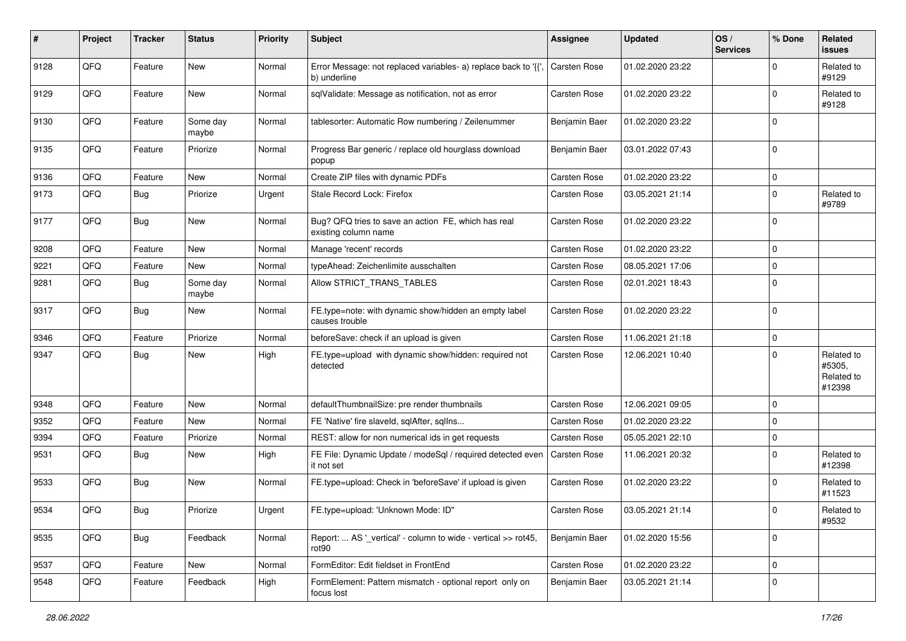| #    | Project | <b>Tracker</b> | <b>Status</b>     | <b>Priority</b> | Subject                                                                        | <b>Assignee</b>     | <b>Updated</b>   | OS/<br><b>Services</b> | % Done         | Related<br>issues                            |
|------|---------|----------------|-------------------|-----------------|--------------------------------------------------------------------------------|---------------------|------------------|------------------------|----------------|----------------------------------------------|
| 9128 | QFQ     | Feature        | New               | Normal          | Error Message: not replaced variables- a) replace back to '{',<br>b) underline | <b>Carsten Rose</b> | 01.02.2020 23:22 |                        | $\Omega$       | Related to<br>#9129                          |
| 9129 | QFQ     | Feature        | New               | Normal          | sqlValidate: Message as notification, not as error                             | <b>Carsten Rose</b> | 01.02.2020 23:22 |                        | $\Omega$       | Related to<br>#9128                          |
| 9130 | QFQ     | Feature        | Some day<br>maybe | Normal          | tablesorter: Automatic Row numbering / Zeilenummer                             | Benjamin Baer       | 01.02.2020 23:22 |                        | $\Omega$       |                                              |
| 9135 | QFQ     | Feature        | Priorize          | Normal          | Progress Bar generic / replace old hourglass download<br>popup                 | Benjamin Baer       | 03.01.2022 07:43 |                        | $\mathbf 0$    |                                              |
| 9136 | QFQ     | Feature        | New               | Normal          | Create ZIP files with dynamic PDFs                                             | <b>Carsten Rose</b> | 01.02.2020 23:22 |                        | $\mathbf 0$    |                                              |
| 9173 | QFQ     | <b>Bug</b>     | Priorize          | Urgent          | Stale Record Lock: Firefox                                                     | <b>Carsten Rose</b> | 03.05.2021 21:14 |                        | $\Omega$       | Related to<br>#9789                          |
| 9177 | QFQ     | Bug            | New               | Normal          | Bug? QFQ tries to save an action FE, which has real<br>existing column name    | Carsten Rose        | 01.02.2020 23:22 |                        | $\overline{0}$ |                                              |
| 9208 | QFQ     | Feature        | New               | Normal          | Manage 'recent' records                                                        | Carsten Rose        | 01.02.2020 23:22 |                        | 0              |                                              |
| 9221 | QFQ     | Feature        | New               | Normal          | typeAhead: Zeichenlimite ausschalten                                           | <b>Carsten Rose</b> | 08.05.2021 17:06 |                        | 0              |                                              |
| 9281 | QFQ     | <b>Bug</b>     | Some day<br>maybe | Normal          | Allow STRICT TRANS TABLES                                                      | Carsten Rose        | 02.01.2021 18:43 |                        | $\Omega$       |                                              |
| 9317 | QFQ     | Bug            | New               | Normal          | FE.type=note: with dynamic show/hidden an empty label<br>causes trouble        | Carsten Rose        | 01.02.2020 23:22 |                        | 0              |                                              |
| 9346 | QFQ     | Feature        | Priorize          | Normal          | beforeSave: check if an upload is given                                        | <b>Carsten Rose</b> | 11.06.2021 21:18 |                        | $\mathbf 0$    |                                              |
| 9347 | QFQ     | Bug            | New               | High            | FE.type=upload with dynamic show/hidden: required not<br>detected              | Carsten Rose        | 12.06.2021 10:40 |                        | $\Omega$       | Related to<br>#5305,<br>Related to<br>#12398 |
| 9348 | QFQ     | Feature        | New               | Normal          | defaultThumbnailSize: pre render thumbnails                                    | Carsten Rose        | 12.06.2021 09:05 |                        | 0              |                                              |
| 9352 | QFQ     | Feature        | New               | Normal          | FE 'Native' fire slaveld, sqlAfter, sqlIns                                     | <b>Carsten Rose</b> | 01.02.2020 23:22 |                        | $\Omega$       |                                              |
| 9394 | QFQ     | Feature        | Priorize          | Normal          | REST: allow for non numerical ids in get requests                              | Carsten Rose        | 05.05.2021 22:10 |                        | $\mathbf 0$    |                                              |
| 9531 | QFQ     | <b>Bug</b>     | New               | High            | FE File: Dynamic Update / modeSql / required detected even<br>it not set       | <b>Carsten Rose</b> | 11.06.2021 20:32 |                        | $\Omega$       | Related to<br>#12398                         |
| 9533 | QFQ     | <b>Bug</b>     | New               | Normal          | FE.type=upload: Check in 'beforeSave' if upload is given                       | Carsten Rose        | 01.02.2020 23:22 |                        | $\Omega$       | Related to<br>#11523                         |
| 9534 | QFQ     | <b>Bug</b>     | Priorize          | Urgent          | FE.type=upload: 'Unknown Mode: ID"                                             | Carsten Rose        | 03.05.2021 21:14 |                        | $\overline{0}$ | Related to<br>#9532                          |
| 9535 | QFQ     | Bug            | Feedback          | Normal          | Report:  AS ' vertical' - column to wide - vertical >> rot45,<br>rot90         | Benjamin Baer       | 01.02.2020 15:56 |                        | $\overline{0}$ |                                              |
| 9537 | QFQ     | Feature        | New               | Normal          | FormEditor: Edit fieldset in FrontEnd                                          | Carsten Rose        | 01.02.2020 23:22 |                        | $\overline{0}$ |                                              |
| 9548 | QFQ     | Feature        | Feedback          | High            | FormElement: Pattern mismatch - optional report only on<br>focus lost          | Benjamin Baer       | 03.05.2021 21:14 |                        | 0              |                                              |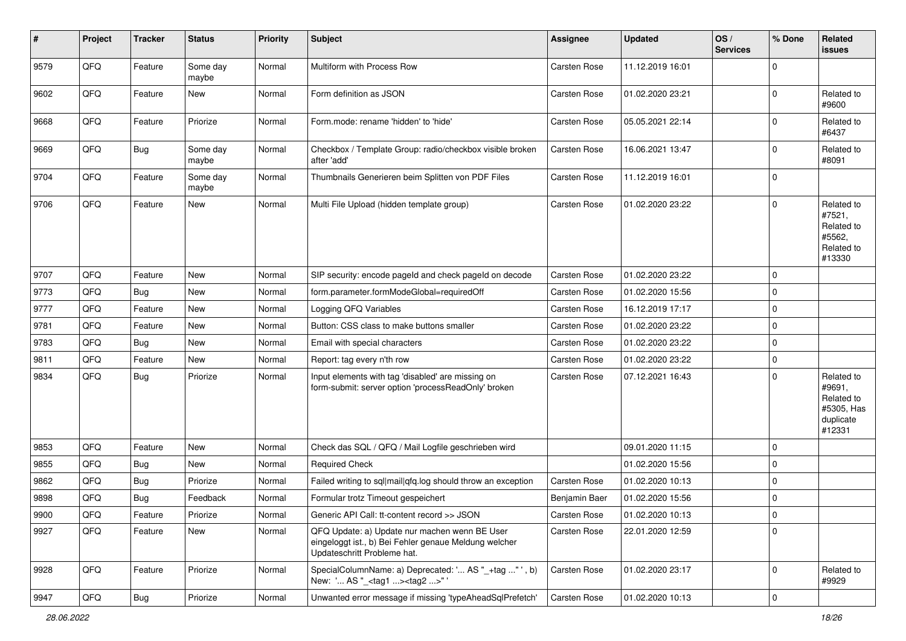| #    | Project        | <b>Tracker</b> | <b>Status</b>     | <b>Priority</b> | <b>Subject</b>                                                                                                                        | <b>Assignee</b>     | <b>Updated</b>   | OS/<br><b>Services</b> | % Done         | Related<br><b>issues</b>                                                |
|------|----------------|----------------|-------------------|-----------------|---------------------------------------------------------------------------------------------------------------------------------------|---------------------|------------------|------------------------|----------------|-------------------------------------------------------------------------|
| 9579 | QFQ            | Feature        | Some day<br>maybe | Normal          | Multiform with Process Row                                                                                                            | <b>Carsten Rose</b> | 11.12.2019 16:01 |                        | $\Omega$       |                                                                         |
| 9602 | QFQ            | Feature        | New               | Normal          | Form definition as JSON                                                                                                               | <b>Carsten Rose</b> | 01.02.2020 23:21 |                        | $\mathbf 0$    | Related to<br>#9600                                                     |
| 9668 | QFQ            | Feature        | Priorize          | Normal          | Form.mode: rename 'hidden' to 'hide'                                                                                                  | Carsten Rose        | 05.05.2021 22:14 |                        | $\Omega$       | Related to<br>#6437                                                     |
| 9669 | QFQ            | Bug            | Some day<br>maybe | Normal          | Checkbox / Template Group: radio/checkbox visible broken<br>after 'add'                                                               | Carsten Rose        | 16.06.2021 13:47 |                        | $\mathbf 0$    | Related to<br>#8091                                                     |
| 9704 | QFQ            | Feature        | Some day<br>maybe | Normal          | Thumbnails Generieren beim Splitten von PDF Files                                                                                     | Carsten Rose        | 11.12.2019 16:01 |                        | $\Omega$       |                                                                         |
| 9706 | QFQ            | Feature        | New               | Normal          | Multi File Upload (hidden template group)                                                                                             | <b>Carsten Rose</b> | 01.02.2020 23:22 |                        | $\Omega$       | Related to<br>#7521,<br>Related to<br>#5562,<br>Related to<br>#13330    |
| 9707 | QFQ            | Feature        | New               | Normal          | SIP security: encode pageld and check pageld on decode                                                                                | <b>Carsten Rose</b> | 01.02.2020 23:22 |                        | $\Omega$       |                                                                         |
| 9773 | QFQ            | <b>Bug</b>     | New               | Normal          | form.parameter.formModeGlobal=requiredOff                                                                                             | Carsten Rose        | 01.02.2020 15:56 |                        | $\Omega$       |                                                                         |
| 9777 | QFQ            | Feature        | New               | Normal          | Logging QFQ Variables                                                                                                                 | Carsten Rose        | 16.12.2019 17:17 |                        | $\Omega$       |                                                                         |
| 9781 | QFQ            | Feature        | New               | Normal          | Button: CSS class to make buttons smaller                                                                                             | <b>Carsten Rose</b> | 01.02.2020 23:22 |                        | $\mathbf 0$    |                                                                         |
| 9783 | QFQ            | Bug            | New               | Normal          | Email with special characters                                                                                                         | <b>Carsten Rose</b> | 01.02.2020 23:22 |                        | $\mathbf{0}$   |                                                                         |
| 9811 | QFQ            | Feature        | New               | Normal          | Report: tag every n'th row                                                                                                            | <b>Carsten Rose</b> | 01.02.2020 23:22 |                        | $\mathbf 0$    |                                                                         |
| 9834 | QFQ            | <b>Bug</b>     | Priorize          | Normal          | Input elements with tag 'disabled' are missing on<br>form-submit: server option 'processReadOnly' broken                              | Carsten Rose        | 07.12.2021 16:43 |                        | $\Omega$       | Related to<br>#9691,<br>Related to<br>#5305, Has<br>duplicate<br>#12331 |
| 9853 | QFQ            | Feature        | <b>New</b>        | Normal          | Check das SQL / QFQ / Mail Logfile geschrieben wird                                                                                   |                     | 09.01.2020 11:15 |                        | $\Omega$       |                                                                         |
| 9855 | QFQ            | Bug            | New               | Normal          | <b>Required Check</b>                                                                                                                 |                     | 01.02.2020 15:56 |                        | $\Omega$       |                                                                         |
| 9862 | QFQ            | Bug            | Priorize          | Normal          | Failed writing to sql mail qfq.log should throw an exception                                                                          | <b>Carsten Rose</b> | 01.02.2020 10:13 |                        | $\mathbf 0$    |                                                                         |
| 9898 | QFQ            | <b>Bug</b>     | Feedback          | Normal          | Formular trotz Timeout gespeichert                                                                                                    | Benjamin Baer       | 01.02.2020 15:56 |                        | $\mathbf{0}$   |                                                                         |
| 9900 | $\mathsf{QFQ}$ | Feature        | Priorize          | Normal          | Generic API Call: tt-content record >> JSON                                                                                           | Carsten Rose        | 01.02.2020 10:13 |                        | $\overline{0}$ |                                                                         |
| 9927 | QFQ            | Feature        | New               | Normal          | QFQ Update: a) Update nur machen wenn BE User<br>eingeloggt ist., b) Bei Fehler genaue Meldung welcher<br>Updateschritt Probleme hat. | Carsten Rose        | 22.01.2020 12:59 |                        | $\Omega$       |                                                                         |
| 9928 | QFQ            | Feature        | Priorize          | Normal          | SpecialColumnName: a) Deprecated: ' AS "_+tag " ', b)<br>New: ' AS "_ <tag1><tag2>"'</tag2></tag1>                                    | <b>Carsten Rose</b> | 01.02.2020 23:17 |                        | $\overline{0}$ | Related to<br>#9929                                                     |
| 9947 | QFG            | <b>Bug</b>     | Priorize          | Normal          | Unwanted error message if missing 'typeAheadSqlPrefetch'                                                                              | Carsten Rose        | 01.02.2020 10:13 |                        | $\overline{0}$ |                                                                         |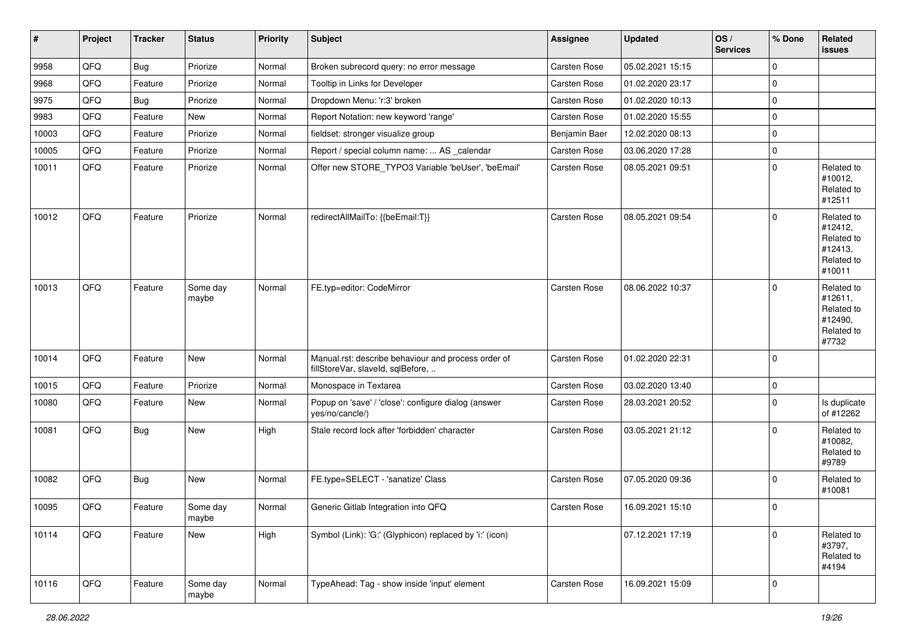| $\vert$ # | Project | <b>Tracker</b> | <b>Status</b>     | <b>Priority</b> | <b>Subject</b>                                                                           | <b>Assignee</b>     | <b>Updated</b>   | OS/<br><b>Services</b> | % Done       | Related<br>issues                                                      |
|-----------|---------|----------------|-------------------|-----------------|------------------------------------------------------------------------------------------|---------------------|------------------|------------------------|--------------|------------------------------------------------------------------------|
| 9958      | QFQ     | Bug            | Priorize          | Normal          | Broken subrecord query: no error message                                                 | Carsten Rose        | 05.02.2021 15:15 |                        | $\mathbf 0$  |                                                                        |
| 9968      | QFQ     | Feature        | Priorize          | Normal          | Tooltip in Links for Developer                                                           | <b>Carsten Rose</b> | 01.02.2020 23:17 |                        | $\mathbf 0$  |                                                                        |
| 9975      | QFQ     | <b>Bug</b>     | Priorize          | Normal          | Dropdown Menu: 'r:3' broken                                                              | Carsten Rose        | 01.02.2020 10:13 |                        | $\mathbf 0$  |                                                                        |
| 9983      | QFQ     | Feature        | New               | Normal          | Report Notation: new keyword 'range'                                                     | Carsten Rose        | 01.02.2020 15:55 |                        | $\mathbf 0$  |                                                                        |
| 10003     | QFQ     | Feature        | Priorize          | Normal          | fieldset: stronger visualize group                                                       | Benjamin Baer       | 12.02.2020 08:13 |                        | $\mathbf 0$  |                                                                        |
| 10005     | QFQ     | Feature        | Priorize          | Normal          | Report / special column name:  AS _calendar                                              | <b>Carsten Rose</b> | 03.06.2020 17:28 |                        | $\mathbf 0$  |                                                                        |
| 10011     | QFQ     | Feature        | Priorize          | Normal          | Offer new STORE_TYPO3 Variable 'beUser', 'beEmail'                                       | Carsten Rose        | 08.05.2021 09:51 |                        | $\mathbf 0$  | Related to<br>#10012,<br>Related to<br>#12511                          |
| 10012     | QFQ     | Feature        | Priorize          | Normal          | redirectAllMailTo: {{beEmail:T}}                                                         | Carsten Rose        | 08.05.2021 09:54 |                        | $\mathbf{0}$ | Related to<br>#12412,<br>Related to<br>#12413,<br>Related to<br>#10011 |
| 10013     | QFQ     | Feature        | Some day<br>maybe | Normal          | FE.typ=editor: CodeMirror                                                                | <b>Carsten Rose</b> | 08.06.2022 10:37 |                        | $\mathbf{0}$ | Related to<br>#12611,<br>Related to<br>#12490,<br>Related to<br>#7732  |
| 10014     | QFQ     | Feature        | New               | Normal          | Manual.rst: describe behaviour and process order of<br>fillStoreVar, slaveId, sqlBefore, | Carsten Rose        | 01.02.2020 22:31 |                        | $\mathbf 0$  |                                                                        |
| 10015     | QFQ     | Feature        | Priorize          | Normal          | Monospace in Textarea                                                                    | Carsten Rose        | 03.02.2020 13:40 |                        | $\mathbf 0$  |                                                                        |
| 10080     | QFQ     | Feature        | New               | Normal          | Popup on 'save' / 'close': configure dialog (answer<br>yes/no/cancle/)                   | Carsten Rose        | 28.03.2021 20:52 |                        | $\mathbf 0$  | Is duplicate<br>of #12262                                              |
| 10081     | QFQ     | Bug            | New               | High            | Stale record lock after 'forbidden' character                                            | <b>Carsten Rose</b> | 03.05.2021 21:12 |                        | $\mathbf{0}$ | Related to<br>#10082,<br>Related to<br>#9789                           |
| 10082     | QFQ     | Bug            | New               | Normal          | FE.type=SELECT - 'sanatize' Class                                                        | <b>Carsten Rose</b> | 07.05.2020 09:36 |                        | $\mathbf 0$  | Related to<br>#10081                                                   |
| 10095     | QFQ     | Feature        | Some day<br>maybe | Normal          | Generic Gitlab Integration into QFQ                                                      | <b>Carsten Rose</b> | 16.09.2021 15:10 |                        | $\mathbf{0}$ |                                                                        |
| 10114     | QFQ     | Feature        | New               | High            | Symbol (Link): 'G:' (Glyphicon) replaced by 'i:' (icon)                                  |                     | 07.12.2021 17:19 |                        | $\mathbf{0}$ | Related to<br>#3797,<br>Related to<br>#4194                            |
| 10116     | QFG     | Feature        | Some day<br>maybe | Normal          | TypeAhead: Tag - show inside 'input' element                                             | Carsten Rose        | 16.09.2021 15:09 |                        | $\mathbf 0$  |                                                                        |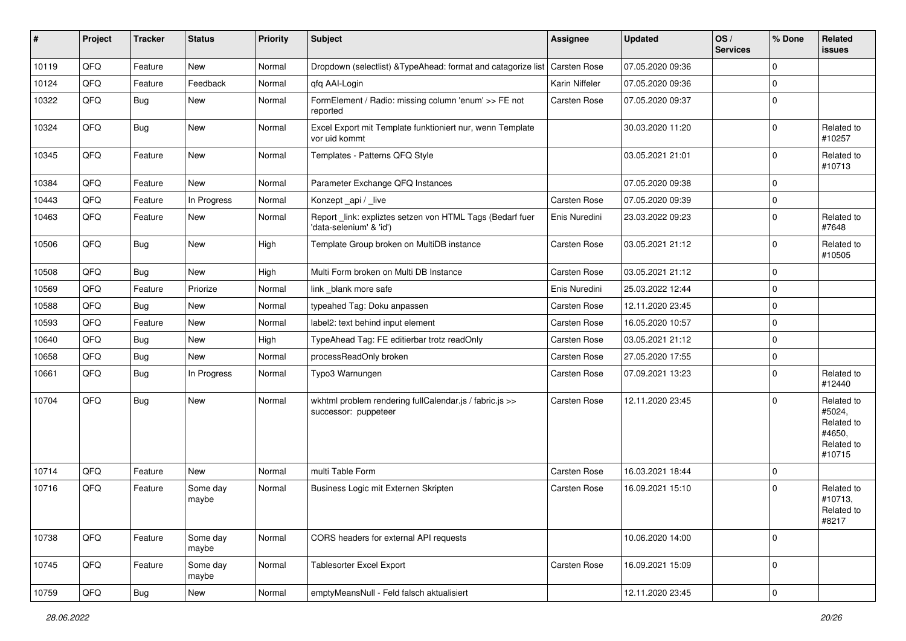| #     | Project | <b>Tracker</b> | <b>Status</b>     | <b>Priority</b> | Subject                                                                             | <b>Assignee</b>     | <b>Updated</b>   | OS/<br><b>Services</b> | % Done         | Related<br><b>issues</b>                                             |
|-------|---------|----------------|-------------------|-----------------|-------------------------------------------------------------------------------------|---------------------|------------------|------------------------|----------------|----------------------------------------------------------------------|
| 10119 | QFQ     | Feature        | New               | Normal          | Dropdown (selectlist) & TypeAhead: format and catagorize list                       | Carsten Rose        | 07.05.2020 09:36 |                        | $\mathbf{0}$   |                                                                      |
| 10124 | QFQ     | Feature        | Feedback          | Normal          | qfq AAI-Login                                                                       | Karin Niffeler      | 07.05.2020 09:36 |                        | $\mathbf 0$    |                                                                      |
| 10322 | QFQ     | <b>Bug</b>     | New               | Normal          | FormElement / Radio: missing column 'enum' >> FE not<br>reported                    | <b>Carsten Rose</b> | 07.05.2020 09:37 |                        | $\overline{0}$ |                                                                      |
| 10324 | QFQ     | Bug            | New               | Normal          | Excel Export mit Template funktioniert nur, wenn Template<br>vor uid kommt          |                     | 30.03.2020 11:20 |                        | $\mathbf 0$    | Related to<br>#10257                                                 |
| 10345 | QFQ     | Feature        | New               | Normal          | Templates - Patterns QFQ Style                                                      |                     | 03.05.2021 21:01 |                        | $\mathbf{0}$   | Related to<br>#10713                                                 |
| 10384 | QFQ     | Feature        | <b>New</b>        | Normal          | Parameter Exchange QFQ Instances                                                    |                     | 07.05.2020 09:38 |                        | $\mathbf 0$    |                                                                      |
| 10443 | QFQ     | Feature        | In Progress       | Normal          | Konzept_api / _live                                                                 | <b>Carsten Rose</b> | 07.05.2020 09:39 |                        | $\mathbf 0$    |                                                                      |
| 10463 | QFQ     | Feature        | New               | Normal          | Report_link: expliztes setzen von HTML Tags (Bedarf fuer<br>'data-selenium' & 'id') | Enis Nuredini       | 23.03.2022 09:23 |                        | $\overline{0}$ | Related to<br>#7648                                                  |
| 10506 | QFQ     | <b>Bug</b>     | New               | High            | Template Group broken on MultiDB instance                                           | Carsten Rose        | 03.05.2021 21:12 |                        | $\overline{0}$ | Related to<br>#10505                                                 |
| 10508 | QFQ     | Bug            | <b>New</b>        | High            | Multi Form broken on Multi DB Instance                                              | <b>Carsten Rose</b> | 03.05.2021 21:12 |                        | $\mathbf{0}$   |                                                                      |
| 10569 | QFQ     | Feature        | Priorize          | Normal          | link blank more safe                                                                | Enis Nuredini       | 25.03.2022 12:44 |                        | $\mathbf{0}$   |                                                                      |
| 10588 | QFQ     | <b>Bug</b>     | New               | Normal          | typeahed Tag: Doku anpassen                                                         | <b>Carsten Rose</b> | 12.11.2020 23:45 |                        | $\mathbf 0$    |                                                                      |
| 10593 | QFQ     | Feature        | New               | Normal          | label2: text behind input element                                                   | Carsten Rose        | 16.05.2020 10:57 |                        | $\mathbf 0$    |                                                                      |
| 10640 | QFQ     | <b>Bug</b>     | New               | High            | TypeAhead Tag: FE editierbar trotz readOnly                                         | <b>Carsten Rose</b> | 03.05.2021 21:12 |                        | $\mathbf{0}$   |                                                                      |
| 10658 | QFQ     | <b>Bug</b>     | New               | Normal          | processReadOnly broken                                                              | Carsten Rose        | 27.05.2020 17:55 |                        | $\mathbf 0$    |                                                                      |
| 10661 | QFQ     | Bug            | In Progress       | Normal          | Typo3 Warnungen                                                                     | <b>Carsten Rose</b> | 07.09.2021 13:23 |                        | $\mathbf 0$    | Related to<br>#12440                                                 |
| 10704 | QFQ     | <b>Bug</b>     | New               | Normal          | wkhtml problem rendering fullCalendar.js / fabric.js >><br>successor: puppeteer     | <b>Carsten Rose</b> | 12.11.2020 23:45 |                        | $\overline{0}$ | Related to<br>#5024,<br>Related to<br>#4650,<br>Related to<br>#10715 |
| 10714 | QFQ     | Feature        | <b>New</b>        | Normal          | multi Table Form                                                                    | <b>Carsten Rose</b> | 16.03.2021 18:44 |                        | $\mathbf 0$    |                                                                      |
| 10716 | QFQ     | Feature        | Some day<br>maybe | Normal          | Business Logic mit Externen Skripten                                                | <b>Carsten Rose</b> | 16.09.2021 15:10 |                        | $\overline{0}$ | Related to<br>#10713,<br>Related to<br>#8217                         |
| 10738 | QFQ     | Feature        | Some day<br>maybe | Normal          | CORS headers for external API requests                                              |                     | 10.06.2020 14:00 |                        | $\mathbf 0$    |                                                                      |
| 10745 | QFQ     | Feature        | Some day<br>maybe | Normal          | <b>Tablesorter Excel Export</b>                                                     | Carsten Rose        | 16.09.2021 15:09 |                        | $\mathbf 0$    |                                                                      |
| 10759 | QFQ     | <b>Bug</b>     | New               | Normal          | emptyMeansNull - Feld falsch aktualisiert                                           |                     | 12.11.2020 23:45 |                        | $\mathbf 0$    |                                                                      |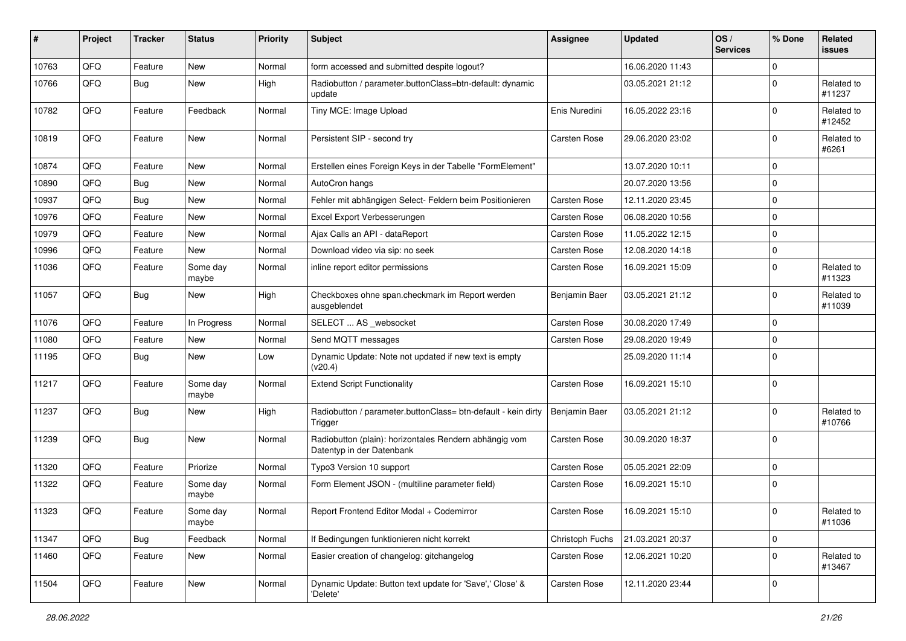| #     | Project | <b>Tracker</b> | <b>Status</b>     | <b>Priority</b> | Subject                                                                             | <b>Assignee</b>     | <b>Updated</b>   | OS/<br><b>Services</b> | % Done       | Related<br><b>issues</b> |
|-------|---------|----------------|-------------------|-----------------|-------------------------------------------------------------------------------------|---------------------|------------------|------------------------|--------------|--------------------------|
| 10763 | QFQ     | Feature        | <b>New</b>        | Normal          | form accessed and submitted despite logout?                                         |                     | 16.06.2020 11:43 |                        | 0            |                          |
| 10766 | QFQ     | Bug            | New               | High            | Radiobutton / parameter.buttonClass=btn-default: dynamic<br>update                  |                     | 03.05.2021 21:12 |                        | 0            | Related to<br>#11237     |
| 10782 | QFQ     | Feature        | Feedback          | Normal          | Tiny MCE: Image Upload                                                              | Enis Nuredini       | 16.05.2022 23:16 |                        | 0            | Related to<br>#12452     |
| 10819 | QFQ     | Feature        | <b>New</b>        | Normal          | Persistent SIP - second try                                                         | Carsten Rose        | 29.06.2020 23:02 |                        | 0            | Related to<br>#6261      |
| 10874 | QFQ     | Feature        | New               | Normal          | Erstellen eines Foreign Keys in der Tabelle "FormElement"                           |                     | 13.07.2020 10:11 |                        | 0            |                          |
| 10890 | QFQ     | Bug            | New               | Normal          | AutoCron hangs                                                                      |                     | 20.07.2020 13:56 |                        | 0            |                          |
| 10937 | QFQ     | Bug            | New               | Normal          | Fehler mit abhängigen Select- Feldern beim Positionieren                            | Carsten Rose        | 12.11.2020 23:45 |                        | 0            |                          |
| 10976 | QFQ     | Feature        | New               | Normal          | Excel Export Verbesserungen                                                         | Carsten Rose        | 06.08.2020 10:56 |                        | $\Omega$     |                          |
| 10979 | QFQ     | Feature        | New               | Normal          | Ajax Calls an API - dataReport                                                      | <b>Carsten Rose</b> | 11.05.2022 12:15 |                        | $\mathbf 0$  |                          |
| 10996 | QFQ     | Feature        | New               | Normal          | Download video via sip: no seek                                                     | Carsten Rose        | 12.08.2020 14:18 |                        | 0            |                          |
| 11036 | QFQ     | Feature        | Some day<br>maybe | Normal          | inline report editor permissions                                                    | Carsten Rose        | 16.09.2021 15:09 |                        | 0            | Related to<br>#11323     |
| 11057 | QFQ     | <b>Bug</b>     | New               | High            | Checkboxes ohne span.checkmark im Report werden<br>ausgeblendet                     | Benjamin Baer       | 03.05.2021 21:12 |                        | 0            | Related to<br>#11039     |
| 11076 | QFQ     | Feature        | In Progress       | Normal          | SELECT  AS _websocket                                                               | <b>Carsten Rose</b> | 30.08.2020 17:49 |                        | 0            |                          |
| 11080 | QFQ     | Feature        | New               | Normal          | Send MQTT messages                                                                  | Carsten Rose        | 29.08.2020 19:49 |                        | $\Omega$     |                          |
| 11195 | QFQ     | <b>Bug</b>     | New               | Low             | Dynamic Update: Note not updated if new text is empty<br>(v20.4)                    |                     | 25.09.2020 11:14 |                        | $\Omega$     |                          |
| 11217 | QFQ     | Feature        | Some day<br>maybe | Normal          | <b>Extend Script Functionality</b>                                                  | Carsten Rose        | 16.09.2021 15:10 |                        | $\Omega$     |                          |
| 11237 | QFQ     | <b>Bug</b>     | New               | High            | Radiobutton / parameter.buttonClass= btn-default - kein dirty<br>Trigger            | Benjamin Baer       | 03.05.2021 21:12 |                        | <sup>0</sup> | Related to<br>#10766     |
| 11239 | QFQ     | <b>Bug</b>     | New               | Normal          | Radiobutton (plain): horizontales Rendern abhängig vom<br>Datentyp in der Datenbank | Carsten Rose        | 30.09.2020 18:37 |                        | 0            |                          |
| 11320 | QFQ     | Feature        | Priorize          | Normal          | Typo3 Version 10 support                                                            | <b>Carsten Rose</b> | 05.05.2021 22:09 |                        | 0            |                          |
| 11322 | QFQ     | Feature        | Some day<br>maybe | Normal          | Form Element JSON - (multiline parameter field)                                     | Carsten Rose        | 16.09.2021 15:10 |                        | 0            |                          |
| 11323 | QFG     | Feature        | Some day<br>maybe | Normal          | Report Frontend Editor Modal + Codemirror                                           | Carsten Rose        | 16.09.2021 15:10 |                        | $\Omega$     | Related to<br>#11036     |
| 11347 | QFQ     | <b>Bug</b>     | Feedback          | Normal          | If Bedingungen funktionieren nicht korrekt                                          | Christoph Fuchs     | 21.03.2021 20:37 |                        | $\mathbf 0$  |                          |
| 11460 | QFQ     | Feature        | New               | Normal          | Easier creation of changelog: gitchangelog                                          | Carsten Rose        | 12.06.2021 10:20 |                        | 0            | Related to<br>#13467     |
| 11504 | QFO     | Feature        | New               | Normal          | Dynamic Update: Button text update for 'Save',' Close' &<br>'Delete'                | Carsten Rose        | 12.11.2020 23:44 |                        | 0            |                          |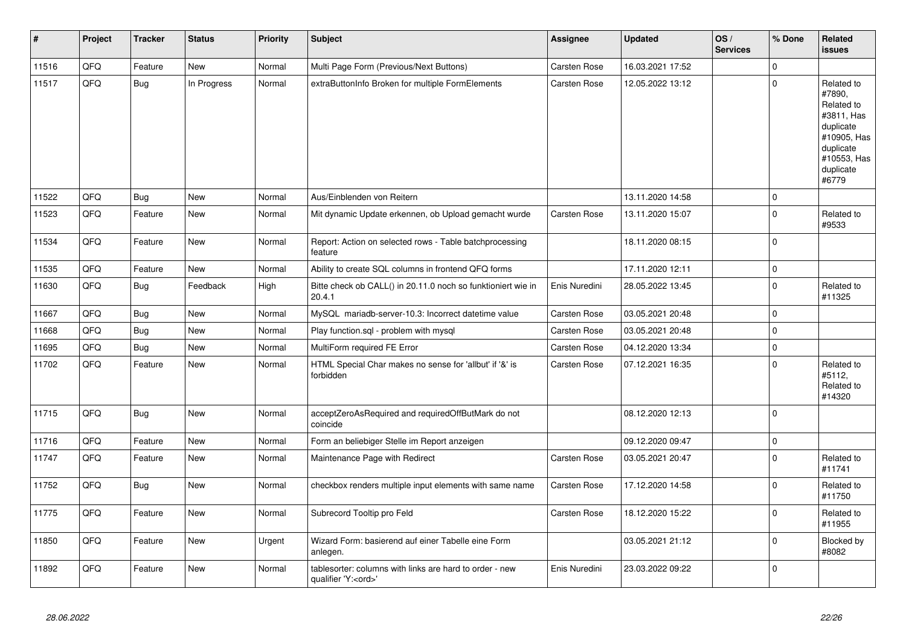| $\vert$ # | Project | <b>Tracker</b> | <b>Status</b> | <b>Priority</b> | <b>Subject</b>                                                                        | Assignee            | <b>Updated</b>   | OS/<br><b>Services</b> | % Done         | Related<br>issues                                                                                                              |
|-----------|---------|----------------|---------------|-----------------|---------------------------------------------------------------------------------------|---------------------|------------------|------------------------|----------------|--------------------------------------------------------------------------------------------------------------------------------|
| 11516     | QFQ     | Feature        | <b>New</b>    | Normal          | Multi Page Form (Previous/Next Buttons)                                               | <b>Carsten Rose</b> | 16.03.2021 17:52 |                        | $\mathbf{0}$   |                                                                                                                                |
| 11517     | QFQ     | <b>Bug</b>     | In Progress   | Normal          | extraButtonInfo Broken for multiple FormElements                                      | <b>Carsten Rose</b> | 12.05.2022 13:12 |                        | $\mathbf 0$    | Related to<br>#7890,<br>Related to<br>#3811, Has<br>duplicate<br>#10905, Has<br>duplicate<br>#10553, Has<br>duplicate<br>#6779 |
| 11522     | QFQ     | Bug            | <b>New</b>    | Normal          | Aus/Einblenden von Reitern                                                            |                     | 13.11.2020 14:58 |                        | $\overline{0}$ |                                                                                                                                |
| 11523     | QFQ     | Feature        | <b>New</b>    | Normal          | Mit dynamic Update erkennen, ob Upload gemacht wurde                                  | Carsten Rose        | 13.11.2020 15:07 |                        | $\Omega$       | Related to<br>#9533                                                                                                            |
| 11534     | QFQ     | Feature        | <b>New</b>    | Normal          | Report: Action on selected rows - Table batchprocessing<br>feature                    |                     | 18.11.2020 08:15 |                        | $\mathbf{0}$   |                                                                                                                                |
| 11535     | QFQ     | Feature        | New           | Normal          | Ability to create SQL columns in frontend QFQ forms                                   |                     | 17.11.2020 12:11 |                        | $\mathbf{0}$   |                                                                                                                                |
| 11630     | QFQ     | Bug            | Feedback      | High            | Bitte check ob CALL() in 20.11.0 noch so funktioniert wie in<br>20.4.1                | Enis Nuredini       | 28.05.2022 13:45 |                        | $\mathbf{0}$   | Related to<br>#11325                                                                                                           |
| 11667     | QFQ     | Bug            | New           | Normal          | MySQL mariadb-server-10.3: Incorrect datetime value                                   | Carsten Rose        | 03.05.2021 20:48 |                        | $\mathbf{0}$   |                                                                                                                                |
| 11668     | QFQ     | Bug            | New           | Normal          | Play function.sql - problem with mysql                                                | Carsten Rose        | 03.05.2021 20:48 |                        | $\mathbf{0}$   |                                                                                                                                |
| 11695     | QFQ     | <b>Bug</b>     | New           | Normal          | MultiForm required FE Error                                                           | Carsten Rose        | 04.12.2020 13:34 |                        | $\Omega$       |                                                                                                                                |
| 11702     | QFQ     | Feature        | New           | Normal          | HTML Special Char makes no sense for 'allbut' if '&' is<br>forbidden                  | Carsten Rose        | 07.12.2021 16:35 |                        | $\mathbf{0}$   | Related to<br>#5112,<br>Related to<br>#14320                                                                                   |
| 11715     | QFQ     | Bug            | <b>New</b>    | Normal          | acceptZeroAsRequired and requiredOffButMark do not<br>coincide                        |                     | 08.12.2020 12:13 |                        | $\overline{0}$ |                                                                                                                                |
| 11716     | QFQ     | Feature        | <b>New</b>    | Normal          | Form an beliebiger Stelle im Report anzeigen                                          |                     | 09.12.2020 09:47 |                        | $\mathbf 0$    |                                                                                                                                |
| 11747     | QFQ     | Feature        | New           | Normal          | Maintenance Page with Redirect                                                        | <b>Carsten Rose</b> | 03.05.2021 20:47 |                        | $\mathbf{0}$   | Related to<br>#11741                                                                                                           |
| 11752     | QFQ     | Bug            | New           | Normal          | checkbox renders multiple input elements with same name                               | Carsten Rose        | 17.12.2020 14:58 |                        | $\mathbf 0$    | Related to<br>#11750                                                                                                           |
| 11775     | QFQ     | Feature        | New           | Normal          | Subrecord Tooltip pro Feld                                                            | Carsten Rose        | 18.12.2020 15:22 |                        | $\mathbf 0$    | Related to<br>#11955                                                                                                           |
| 11850     | QFQ     | Feature        | New           | Urgent          | Wizard Form: basierend auf einer Tabelle eine Form<br>anlegen.                        |                     | 03.05.2021 21:12 |                        | $\mathbf 0$    | Blocked by<br>#8082                                                                                                            |
| 11892     | QFQ     | Feature        | <b>New</b>    | Normal          | tablesorter: columns with links are hard to order - new<br>qualifier 'Y: <ord>'</ord> | Enis Nuredini       | 23.03.2022 09:22 |                        | $\mathbf{0}$   |                                                                                                                                |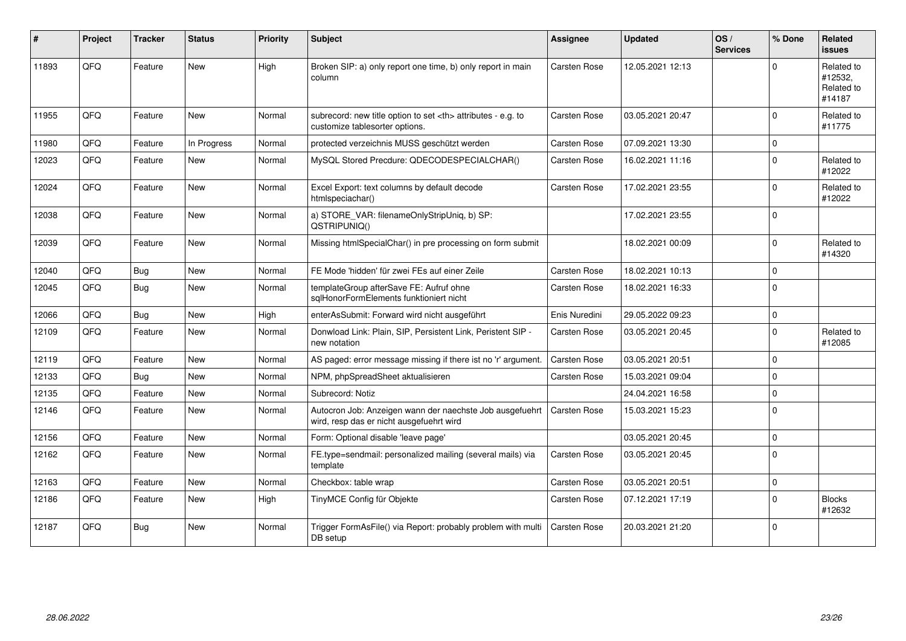| ∦     | Project | <b>Tracker</b> | <b>Status</b> | <b>Priority</b> | <b>Subject</b>                                                                                       | <b>Assignee</b>                                        | <b>Updated</b>      | OS/<br><b>Services</b> | % Done         | Related<br><b>issues</b>                      |                      |
|-------|---------|----------------|---------------|-----------------|------------------------------------------------------------------------------------------------------|--------------------------------------------------------|---------------------|------------------------|----------------|-----------------------------------------------|----------------------|
| 11893 | QFQ     | Feature        | <b>New</b>    | High            | Broken SIP: a) only report one time, b) only report in main<br>column                                | <b>Carsten Rose</b>                                    | 12.05.2021 12:13    |                        | $\Omega$       | Related to<br>#12532,<br>Related to<br>#14187 |                      |
| 11955 | QFQ     | Feature        | New           | Normal          | subrecord: new title option to set <th> attributes - e.g. to<br/>customize tablesorter options.</th> | attributes - e.g. to<br>customize tablesorter options. | <b>Carsten Rose</b> | 03.05.2021 20:47       |                | $\mathbf 0$                                   | Related to<br>#11775 |
| 11980 | QFQ     | Feature        | In Progress   | Normal          | protected verzeichnis MUSS geschützt werden                                                          | <b>Carsten Rose</b>                                    | 07.09.2021 13:30    |                        | $\Omega$       |                                               |                      |
| 12023 | QFQ     | Feature        | New           | Normal          | MySQL Stored Precdure: QDECODESPECIALCHAR()                                                          | Carsten Rose                                           | 16.02.2021 11:16    |                        | $\Omega$       | Related to<br>#12022                          |                      |
| 12024 | QFQ     | Feature        | New           | Normal          | Excel Export: text columns by default decode<br>htmlspeciachar()                                     | <b>Carsten Rose</b>                                    | 17.02.2021 23:55    |                        | $\Omega$       | Related to<br>#12022                          |                      |
| 12038 | QFQ     | Feature        | New           | Normal          | a) STORE_VAR: filenameOnlyStripUniq, b) SP:<br>QSTRIPUNIQ()                                          |                                                        | 17.02.2021 23:55    |                        | $\overline{0}$ |                                               |                      |
| 12039 | QFQ     | Feature        | <b>New</b>    | Normal          | Missing htmlSpecialChar() in pre processing on form submit                                           |                                                        | 18.02.2021 00:09    |                        | $\Omega$       | Related to<br>#14320                          |                      |
| 12040 | QFQ     | Bug            | <b>New</b>    | Normal          | FE Mode 'hidden' für zwei FEs auf einer Zeile                                                        | <b>Carsten Rose</b>                                    | 18.02.2021 10:13    |                        | $\Omega$       |                                               |                      |
| 12045 | QFQ     | <b>Bug</b>     | <b>New</b>    | Normal          | templateGroup afterSave FE: Aufruf ohne<br>sqlHonorFormElements funktioniert nicht                   | <b>Carsten Rose</b>                                    | 18.02.2021 16:33    |                        | $\overline{0}$ |                                               |                      |
| 12066 | QFQ     | Bug            | <b>New</b>    | High            | enterAsSubmit: Forward wird nicht ausgeführt                                                         | Enis Nuredini                                          | 29.05.2022 09:23    |                        | $\overline{0}$ |                                               |                      |
| 12109 | QFQ     | Feature        | New           | Normal          | Donwload Link: Plain, SIP, Persistent Link, Peristent SIP -<br>new notation                          | <b>Carsten Rose</b>                                    | 03.05.2021 20:45    |                        | $\overline{0}$ | Related to<br>#12085                          |                      |
| 12119 | QFQ     | Feature        | <b>New</b>    | Normal          | AS paged: error message missing if there ist no 'r' argument.                                        | <b>Carsten Rose</b>                                    | 03.05.2021 20:51    |                        | $\Omega$       |                                               |                      |
| 12133 | QFQ     | Bug            | New           | Normal          | NPM, phpSpreadSheet aktualisieren                                                                    | <b>Carsten Rose</b>                                    | 15.03.2021 09:04    |                        | $\Omega$       |                                               |                      |
| 12135 | QFQ     | Feature        | <b>New</b>    | Normal          | Subrecord: Notiz                                                                                     |                                                        | 24.04.2021 16:58    |                        | $\Omega$       |                                               |                      |
| 12146 | QFQ     | Feature        | <b>New</b>    | Normal          | Autocron Job: Anzeigen wann der naechste Job ausgefuehrt<br>wird, resp das er nicht ausgefuehrt wird | <b>Carsten Rose</b>                                    | 15.03.2021 15:23    |                        | $\Omega$       |                                               |                      |
| 12156 | QFQ     | Feature        | <b>New</b>    | Normal          | Form: Optional disable 'leave page'                                                                  |                                                        | 03.05.2021 20:45    |                        | $\Omega$       |                                               |                      |
| 12162 | QFQ     | Feature        | <b>New</b>    | Normal          | FE.type=sendmail: personalized mailing (several mails) via<br>template                               | <b>Carsten Rose</b>                                    | 03.05.2021 20:45    |                        | $\overline{0}$ |                                               |                      |
| 12163 | QFQ     | Feature        | <b>New</b>    | Normal          | Checkbox: table wrap                                                                                 | Carsten Rose                                           | 03.05.2021 20:51    |                        | $\mathbf{0}$   |                                               |                      |
| 12186 | QFQ     | Feature        | <b>New</b>    | High            | TinyMCE Config für Objekte                                                                           | Carsten Rose                                           | 07.12.2021 17:19    |                        | $\Omega$       | <b>Blocks</b><br>#12632                       |                      |
| 12187 | QFQ     | Bug            | New           | Normal          | Trigger FormAsFile() via Report: probably problem with multi<br>DB setup                             | Carsten Rose                                           | 20.03.2021 21:20    |                        | $\Omega$       |                                               |                      |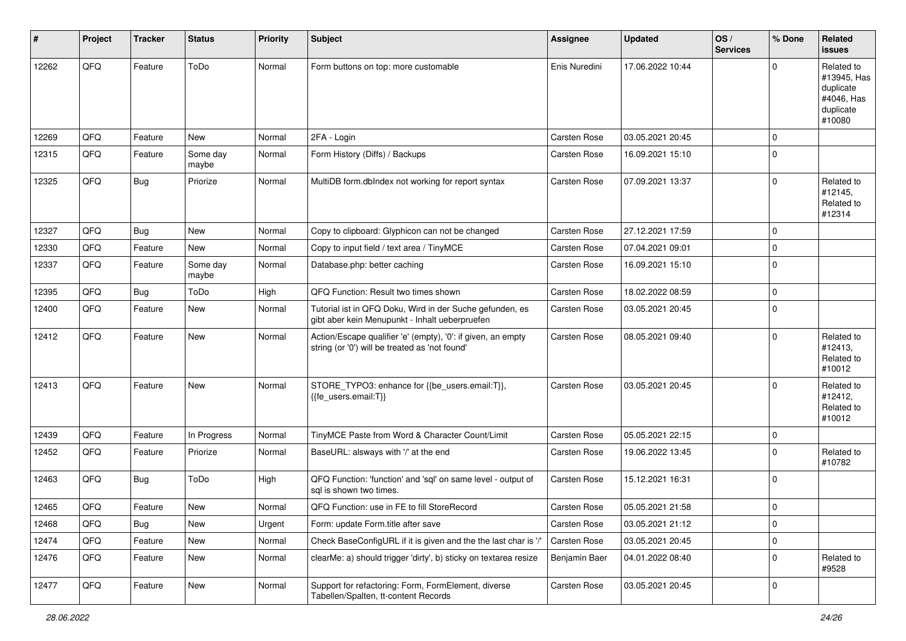| #     | Project | <b>Tracker</b> | <b>Status</b>     | <b>Priority</b> | Subject                                                                                                        | Assignee            | <b>Updated</b>   | OS/<br><b>Services</b> | % Done       | Related<br><b>issues</b>                                                    |
|-------|---------|----------------|-------------------|-----------------|----------------------------------------------------------------------------------------------------------------|---------------------|------------------|------------------------|--------------|-----------------------------------------------------------------------------|
| 12262 | QFQ     | Feature        | ToDo              | Normal          | Form buttons on top: more customable                                                                           | Enis Nuredini       | 17.06.2022 10:44 |                        | $\Omega$     | Related to<br>#13945, Has<br>duplicate<br>#4046, Has<br>duplicate<br>#10080 |
| 12269 | QFQ     | Feature        | <b>New</b>        | Normal          | 2FA - Login                                                                                                    | <b>Carsten Rose</b> | 03.05.2021 20:45 |                        | $\mathbf 0$  |                                                                             |
| 12315 | QFQ     | Feature        | Some day<br>maybe | Normal          | Form History (Diffs) / Backups                                                                                 | <b>Carsten Rose</b> | 16.09.2021 15:10 |                        | $\Omega$     |                                                                             |
| 12325 | QFQ     | <b>Bug</b>     | Priorize          | Normal          | MultiDB form.dbIndex not working for report syntax                                                             | <b>Carsten Rose</b> | 07.09.2021 13:37 |                        | $\mathbf 0$  | Related to<br>#12145,<br>Related to<br>#12314                               |
| 12327 | QFQ     | <b>Bug</b>     | New               | Normal          | Copy to clipboard: Glyphicon can not be changed                                                                | <b>Carsten Rose</b> | 27.12.2021 17:59 |                        | $\Omega$     |                                                                             |
| 12330 | QFQ     | Feature        | <b>New</b>        | Normal          | Copy to input field / text area / TinyMCE                                                                      | <b>Carsten Rose</b> | 07.04.2021 09:01 |                        | $\mathbf 0$  |                                                                             |
| 12337 | QFQ     | Feature        | Some day<br>maybe | Normal          | Database.php: better caching                                                                                   | <b>Carsten Rose</b> | 16.09.2021 15:10 |                        | $\Omega$     |                                                                             |
| 12395 | QFQ     | <b>Bug</b>     | ToDo              | High            | QFQ Function: Result two times shown                                                                           | <b>Carsten Rose</b> | 18.02.2022 08:59 |                        | $\mathbf 0$  |                                                                             |
| 12400 | QFQ     | Feature        | <b>New</b>        | Normal          | Tutorial ist in QFQ Doku, Wird in der Suche gefunden, es<br>gibt aber kein Menupunkt - Inhalt ueberpruefen     | <b>Carsten Rose</b> | 03.05.2021 20:45 |                        | $\Omega$     |                                                                             |
| 12412 | QFQ     | Feature        | <b>New</b>        | Normal          | Action/Escape qualifier 'e' (empty), '0': if given, an empty<br>string (or '0') will be treated as 'not found' | <b>Carsten Rose</b> | 08.05.2021 09:40 |                        | $\Omega$     | Related to<br>#12413,<br>Related to<br>#10012                               |
| 12413 | QFQ     | Feature        | <b>New</b>        | Normal          | STORE_TYPO3: enhance for {{be_users.email:T}},<br>{{fe_users.email:T}}                                         | <b>Carsten Rose</b> | 03.05.2021 20:45 |                        | $\Omega$     | Related to<br>#12412,<br>Related to<br>#10012                               |
| 12439 | QFQ     | Feature        | In Progress       | Normal          | TinyMCE Paste from Word & Character Count/Limit                                                                | <b>Carsten Rose</b> | 05.05.2021 22:15 |                        | $\mathbf 0$  |                                                                             |
| 12452 | QFQ     | Feature        | Priorize          | Normal          | BaseURL: alsways with '/' at the end                                                                           | <b>Carsten Rose</b> | 19.06.2022 13:45 |                        | $\mathbf 0$  | Related to<br>#10782                                                        |
| 12463 | QFQ     | <b>Bug</b>     | ToDo              | High            | QFQ Function: 'function' and 'sql' on same level - output of<br>sql is shown two times.                        | <b>Carsten Rose</b> | 15.12.2021 16:31 |                        | $\mathbf 0$  |                                                                             |
| 12465 | QFQ     | Feature        | New               | Normal          | QFQ Function: use in FE to fill StoreRecord                                                                    | <b>Carsten Rose</b> | 05.05.2021 21:58 |                        | $\mathbf{0}$ |                                                                             |
| 12468 | QFQ     | <b>Bug</b>     | New               | Urgent          | Form: update Form.title after save                                                                             | Carsten Rose        | 03.05.2021 21:12 |                        | $\mathbf 0$  |                                                                             |
| 12474 | QFQ     | Feature        | New               | Normal          | Check BaseConfigURL if it is given and the the last char is '/'                                                | Carsten Rose        | 03.05.2021 20:45 |                        | $\mathbf 0$  |                                                                             |
| 12476 | QFQ     | Feature        | New               | Normal          | clearMe: a) should trigger 'dirty', b) sticky on textarea resize                                               | Benjamin Baer       | 04.01.2022 08:40 |                        | $\mathbf 0$  | Related to<br>#9528                                                         |
| 12477 | QFQ     | Feature        | New               | Normal          | Support for refactoring: Form, FormElement, diverse<br>Tabellen/Spalten, tt-content Records                    | Carsten Rose        | 03.05.2021 20:45 |                        | $\mathbf 0$  |                                                                             |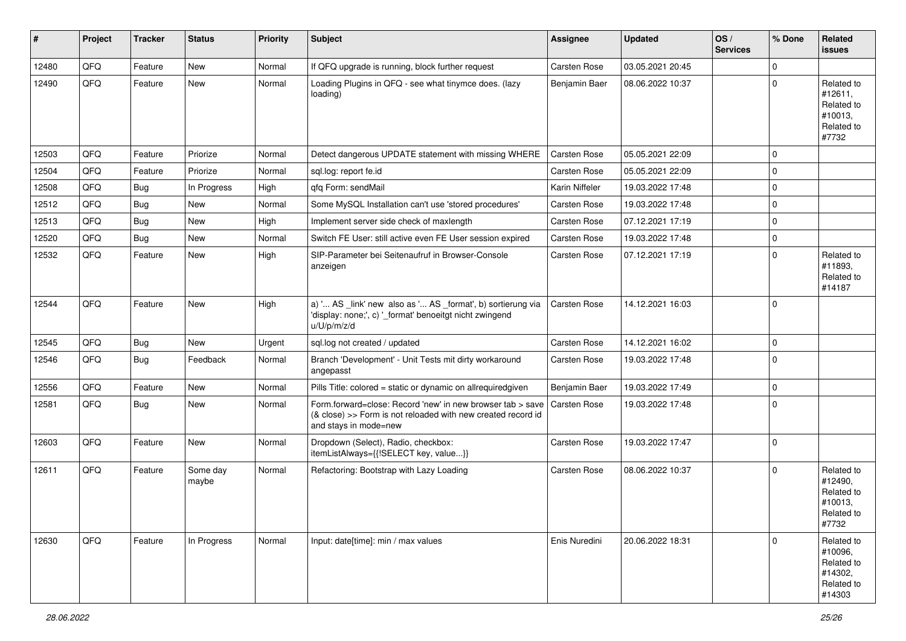| $\sharp$ | Project | <b>Tracker</b> | <b>Status</b>     | <b>Priority</b> | Subject                                                                                                                                                            | <b>Assignee</b>     | <b>Updated</b>   | OS/<br><b>Services</b> | % Done         | Related<br><b>issues</b>                                               |
|----------|---------|----------------|-------------------|-----------------|--------------------------------------------------------------------------------------------------------------------------------------------------------------------|---------------------|------------------|------------------------|----------------|------------------------------------------------------------------------|
| 12480    | QFQ     | Feature        | New               | Normal          | If QFQ upgrade is running, block further request                                                                                                                   | Carsten Rose        | 03.05.2021 20:45 |                        | 0              |                                                                        |
| 12490    | QFQ     | Feature        | New               | Normal          | Loading Plugins in QFQ - see what tinymce does. (lazy<br>loading)                                                                                                  | Benjamin Baer       | 08.06.2022 10:37 |                        | $\Omega$       | Related to<br>#12611,<br>Related to<br>#10013,<br>Related to<br>#7732  |
| 12503    | QFQ     | Feature        | Priorize          | Normal          | Detect dangerous UPDATE statement with missing WHERE                                                                                                               | Carsten Rose        | 05.05.2021 22:09 |                        | $\Omega$       |                                                                        |
| 12504    | QFQ     | Feature        | Priorize          | Normal          | sql.log: report fe.id                                                                                                                                              | <b>Carsten Rose</b> | 05.05.2021 22:09 |                        | $\mathbf{0}$   |                                                                        |
| 12508    | QFQ     | <b>Bug</b>     | In Progress       | High            | qfq Form: sendMail                                                                                                                                                 | Karin Niffeler      | 19.03.2022 17:48 |                        | $\mathbf{0}$   |                                                                        |
| 12512    | QFQ     | <b>Bug</b>     | <b>New</b>        | Normal          | Some MySQL Installation can't use 'stored procedures'                                                                                                              | <b>Carsten Rose</b> | 19.03.2022 17:48 |                        | $\mathbf 0$    |                                                                        |
| 12513    | QFQ     | Bug            | <b>New</b>        | High            | Implement server side check of maxlength                                                                                                                           | Carsten Rose        | 07.12.2021 17:19 |                        | $\mathbf 0$    |                                                                        |
| 12520    | QFQ     | Bug            | <b>New</b>        | Normal          | Switch FE User: still active even FE User session expired                                                                                                          | <b>Carsten Rose</b> | 19.03.2022 17:48 |                        | $\mathbf 0$    |                                                                        |
| 12532    | QFQ     | Feature        | New               | High            | SIP-Parameter bei Seitenaufruf in Browser-Console<br>anzeigen                                                                                                      | <b>Carsten Rose</b> | 07.12.2021 17:19 |                        | $\Omega$       | Related to<br>#11893,<br>Related to<br>#14187                          |
| 12544    | QFQ     | Feature        | New               | High            | a) ' AS _link' new also as ' AS _format', b) sortierung via<br>'display: none;', c) '_format' benoeitgt nicht zwingend<br>u/U/p/m/z/d                              | Carsten Rose        | 14.12.2021 16:03 |                        | $\Omega$       |                                                                        |
| 12545    | QFQ     | <b>Bug</b>     | New               | Urgent          | sql.log not created / updated                                                                                                                                      | Carsten Rose        | 14.12.2021 16:02 |                        | $\mathbf{0}$   |                                                                        |
| 12546    | QFQ     | <b>Bug</b>     | Feedback          | Normal          | Branch 'Development' - Unit Tests mit dirty workaround<br>angepasst                                                                                                | Carsten Rose        | 19.03.2022 17:48 |                        | $\Omega$       |                                                                        |
| 12556    | QFQ     | Feature        | New               | Normal          | Pills Title: colored = static or dynamic on allrequiredgiven                                                                                                       | Benjamin Baer       | 19.03.2022 17:49 |                        | $\mathbf{0}$   |                                                                        |
| 12581    | QFQ     | <b>Bug</b>     | New               | Normal          | Form.forward=close: Record 'new' in new browser tab > save   Carsten Rose<br>(& close) >> Form is not reloaded with new created record id<br>and stays in mode=new |                     | 19.03.2022 17:48 |                        | $\overline{0}$ |                                                                        |
| 12603    | QFQ     | Feature        | New               | Normal          | Dropdown (Select), Radio, checkbox:<br>itemListAlways={{!SELECT key, value}}                                                                                       | Carsten Rose        | 19.03.2022 17:47 |                        | $\overline{0}$ |                                                                        |
| 12611    | QFQ     | Feature        | Some day<br>maybe | Normal          | Refactoring: Bootstrap with Lazy Loading                                                                                                                           | Carsten Rose        | 08.06.2022 10:37 |                        | $\Omega$       | Related to<br>#12490,<br>Related to<br>#10013,<br>Related to<br>#7732  |
| 12630    | QFQ     | Feature        | In Progress       | Normal          | Input: date[time]: min / max values                                                                                                                                | Enis Nuredini       | 20.06.2022 18:31 |                        | $\Omega$       | Related to<br>#10096,<br>Related to<br>#14302,<br>Related to<br>#14303 |